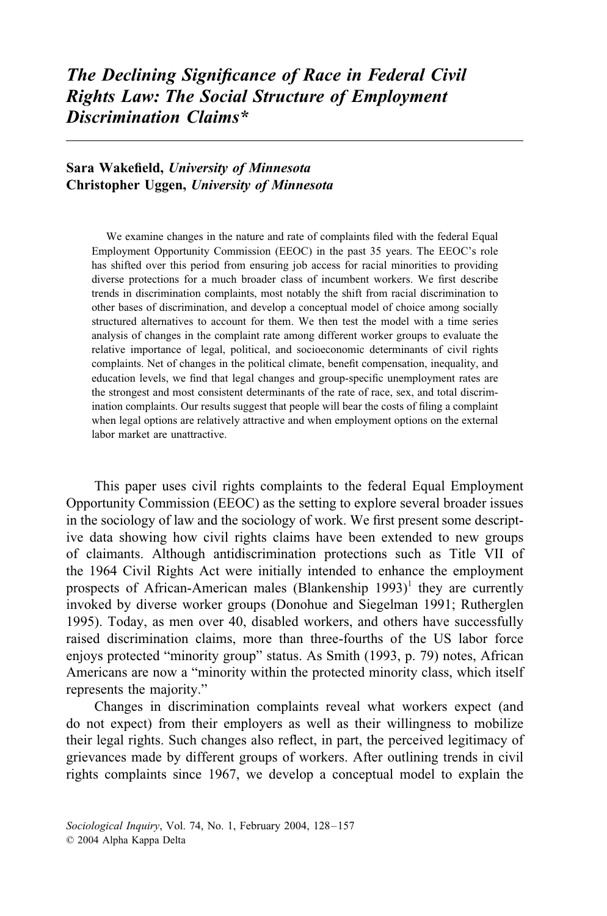# **The Declining Significance of Race in Federal Civil** *Rights Law: The Social Structure of Employment Discrimination Claims\**

# **Sara Wakefield,** *University of Minnesota* **Christopher Uggen,** *University of Minnesota*

We examine changes in the nature and rate of complaints filed with the federal Equal Employment Opportunity Commission (EEOC) in the past 35 years. The EEOC's role has shifted over this period from ensuring job access for racial minorities to providing diverse protections for a much broader class of incumbent workers. We first describe trends in discrimination complaints, most notably the shift from racial discrimination to other bases of discrimination, and develop a conceptual model of choice among socially structured alternatives to account for them. We then test the model with a time series analysis of changes in the complaint rate among different worker groups to evaluate the relative importance of legal, political, and socioeconomic determinants of civil rights complaints. Net of changes in the political climate, benefit compensation, inequality, and education levels, we find that legal changes and group-specific unemployment rates are the strongest and most consistent determinants of the rate of race, sex, and total discrimination complaints. Our results suggest that people will bear the costs of filing a complaint when legal options are relatively attractive and when employment options on the external labor market are unattractive.

This paper uses civil rights complaints to the federal Equal Employment Opportunity Commission (EEOC) as the setting to explore several broader issues in the sociology of law and the sociology of work. We first present some descriptive data showing how civil rights claims have been extended to new groups of claimants. Although antidiscrimination protections such as Title VII of the 1964 Civil Rights Act were initially intended to enhance the employment prospects of African-American males (Blankenship  $1993$ )<sup>1</sup> they are currently invoked by diverse worker groups (Donohue and Siegelman 1991; Rutherglen 1995). Today, as men over 40, disabled workers, and others have successfully raised discrimination claims, more than three-fourths of the US labor force enjoys protected "minority group" status. As Smith (1993, p. 79) notes, African Americans are now a "minority within the protected minority class, which itself represents the majority."

Changes in discrimination complaints reveal what workers expect (and do not expect) from their employers as well as their willingness to mobilize their legal rights. Such changes also reflect, in part, the perceived legitimacy of grievances made by different groups of workers. After outlining trends in civil rights complaints since 1967, we develop a conceptual model to explain the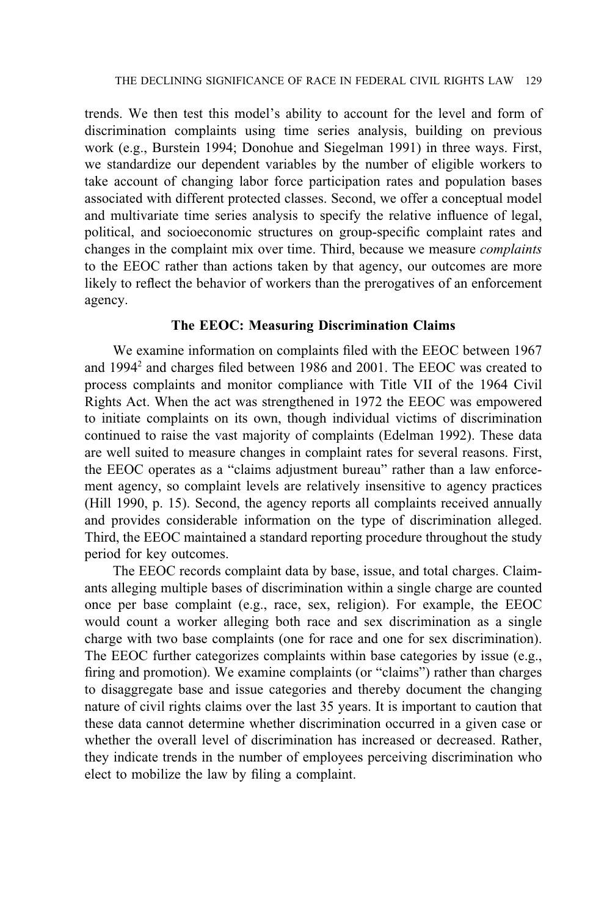trends. We then test this model's ability to account for the level and form of discrimination complaints using time series analysis, building on previous work (e.g., Burstein 1994; Donohue and Siegelman 1991) in three ways. First, we standardize our dependent variables by the number of eligible workers to take account of changing labor force participation rates and population bases associated with different protected classes. Second, we offer a conceptual model and multivariate time series analysis to specify the relative influence of legal, political, and socioeconomic structures on group-specific complaint rates and changes in the complaint mix over time. Third, because we measure *complaints* to the EEOC rather than actions taken by that agency, our outcomes are more likely to reflect the behavior of workers than the prerogatives of an enforcement agency.

### **The EEOC: Measuring Discrimination Claims**

We examine information on complaints filed with the EEOC between 1967 and 1994<sup>2</sup> and charges filed between 1986 and 2001. The EEOC was created to process complaints and monitor compliance with Title VII of the 1964 Civil Rights Act. When the act was strengthened in 1972 the EEOC was empowered to initiate complaints on its own, though individual victims of discrimination continued to raise the vast majority of complaints (Edelman 1992). These data are well suited to measure changes in complaint rates for several reasons. First, the EEOC operates as a "claims adjustment bureau" rather than a law enforcement agency, so complaint levels are relatively insensitive to agency practices (Hill 1990, p. 15). Second, the agency reports all complaints received annually and provides considerable information on the type of discrimination alleged. Third, the EEOC maintained a standard reporting procedure throughout the study period for key outcomes.

The EEOC records complaint data by base, issue, and total charges. Claimants alleging multiple bases of discrimination within a single charge are counted once per base complaint (e.g., race, sex, religion). For example, the EEOC would count a worker alleging both race and sex discrimination as a single charge with two base complaints (one for race and one for sex discrimination). The EEOC further categorizes complaints within base categories by issue (e.g., firing and promotion). We examine complaints (or "claims") rather than charges to disaggregate base and issue categories and thereby document the changing nature of civil rights claims over the last 35 years. It is important to caution that these data cannot determine whether discrimination occurred in a given case or whether the overall level of discrimination has increased or decreased. Rather, they indicate trends in the number of employees perceiving discrimination who elect to mobilize the law by filing a complaint.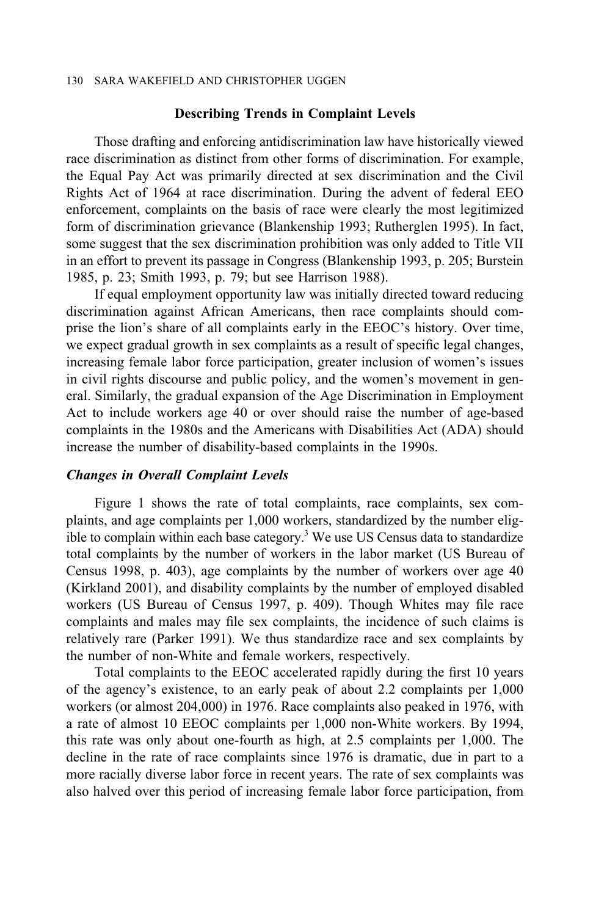# **Describing Trends in Complaint Levels**

Those drafting and enforcing antidiscrimination law have historically viewed race discrimination as distinct from other forms of discrimination. For example, the Equal Pay Act was primarily directed at sex discrimination and the Civil Rights Act of 1964 at race discrimination. During the advent of federal EEO enforcement, complaints on the basis of race were clearly the most legitimized form of discrimination grievance (Blankenship 1993; Rutherglen 1995). In fact, some suggest that the sex discrimination prohibition was only added to Title VII in an effort to prevent its passage in Congress (Blankenship 1993, p. 205; Burstein 1985, p. 23; Smith 1993, p. 79; but see Harrison 1988).

If equal employment opportunity law was initially directed toward reducing discrimination against African Americans, then race complaints should comprise the lion's share of all complaints early in the EEOC's history. Over time, we expect gradual growth in sex complaints as a result of specific legal changes, increasing female labor force participation, greater inclusion of women's issues in civil rights discourse and public policy, and the women's movement in general. Similarly, the gradual expansion of the Age Discrimination in Employment Act to include workers age 40 or over should raise the number of age-based complaints in the 1980s and the Americans with Disabilities Act (ADA) should increase the number of disability-based complaints in the 1990s.

# *Changes in Overall Complaint Levels*

Figure 1 shows the rate of total complaints, race complaints, sex complaints, and age complaints per 1,000 workers, standardized by the number eligible to complain within each base category.<sup>3</sup> We use US Census data to standardize total complaints by the number of workers in the labor market (US Bureau of Census 1998, p. 403), age complaints by the number of workers over age 40 (Kirkland 2001), and disability complaints by the number of employed disabled workers (US Bureau of Census 1997, p. 409). Though Whites may file race complaints and males may file sex complaints, the incidence of such claims is relatively rare (Parker 1991). We thus standardize race and sex complaints by the number of non-White and female workers, respectively.

Total complaints to the EEOC accelerated rapidly during the first 10 years of the agency's existence, to an early peak of about 2.2 complaints per 1,000 workers (or almost 204,000) in 1976. Race complaints also peaked in 1976, with a rate of almost 10 EEOC complaints per 1,000 non-White workers. By 1994, this rate was only about one-fourth as high, at 2.5 complaints per 1,000. The decline in the rate of race complaints since 1976 is dramatic, due in part to a more racially diverse labor force in recent years. The rate of sex complaints was also halved over this period of increasing female labor force participation, from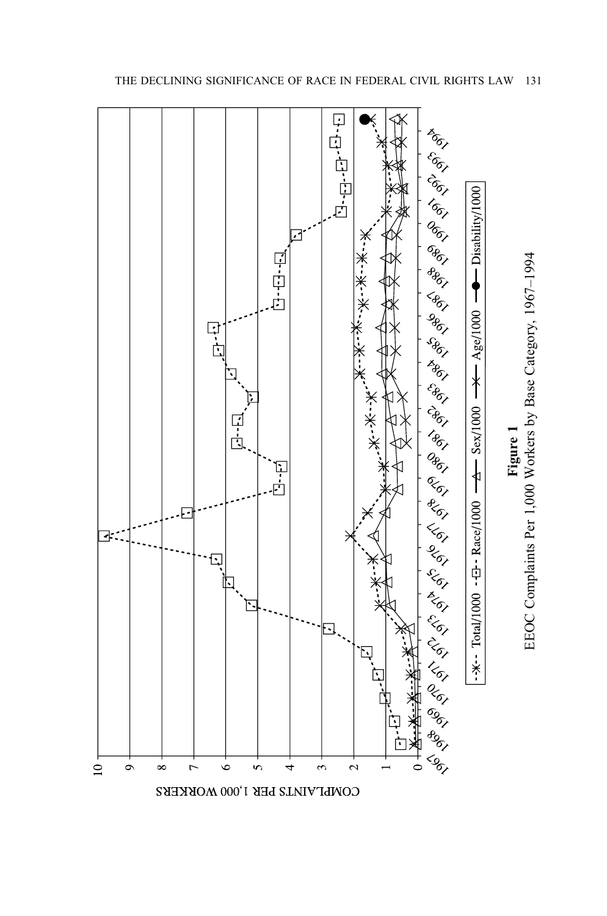

COMPLAINTS PER 1,000 WORKERS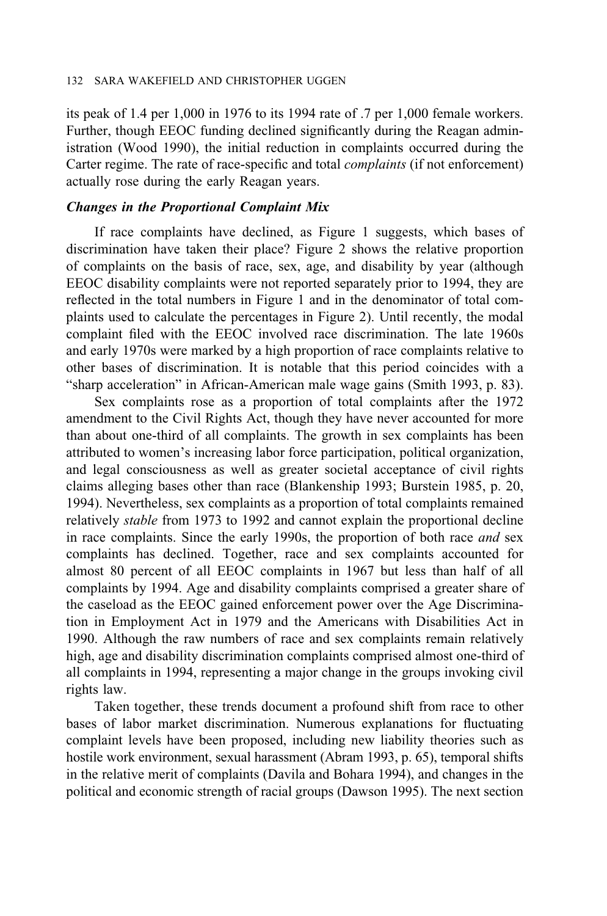its peak of 1.4 per 1,000 in 1976 to its 1994 rate of .7 per 1,000 female workers. Further, though EEOC funding declined significantly during the Reagan administration (Wood 1990), the initial reduction in complaints occurred during the Carter regime. The rate of race-specific and total *complaints* (if not enforcement) actually rose during the early Reagan years.

### *Changes in the Proportional Complaint Mix*

If race complaints have declined, as Figure 1 suggests, which bases of discrimination have taken their place? Figure 2 shows the relative proportion of complaints on the basis of race, sex, age, and disability by year (although EEOC disability complaints were not reported separately prior to 1994, they are reflected in the total numbers in Figure 1 and in the denominator of total complaints used to calculate the percentages in Figure 2). Until recently, the modal complaint filed with the EEOC involved race discrimination. The late 1960s and early 1970s were marked by a high proportion of race complaints relative to other bases of discrimination. It is notable that this period coincides with a "sharp acceleration" in African-American male wage gains (Smith 1993, p. 83).

Sex complaints rose as a proportion of total complaints after the 1972 amendment to the Civil Rights Act, though they have never accounted for more than about one-third of all complaints. The growth in sex complaints has been attributed to women's increasing labor force participation, political organization, and legal consciousness as well as greater societal acceptance of civil rights claims alleging bases other than race (Blankenship 1993; Burstein 1985, p. 20, 1994). Nevertheless, sex complaints as a proportion of total complaints remained relatively *stable* from 1973 to 1992 and cannot explain the proportional decline in race complaints. Since the early 1990s, the proportion of both race *and* sex complaints has declined. Together, race and sex complaints accounted for almost 80 percent of all EEOC complaints in 1967 but less than half of all complaints by 1994. Age and disability complaints comprised a greater share of the caseload as the EEOC gained enforcement power over the Age Discrimination in Employment Act in 1979 and the Americans with Disabilities Act in 1990. Although the raw numbers of race and sex complaints remain relatively high, age and disability discrimination complaints comprised almost one-third of all complaints in 1994, representing a major change in the groups invoking civil rights law.

Taken together, these trends document a profound shift from race to other bases of labor market discrimination. Numerous explanations for fluctuating complaint levels have been proposed, including new liability theories such as hostile work environment, sexual harassment (Abram 1993, p. 65), temporal shifts in the relative merit of complaints (Davila and Bohara 1994), and changes in the political and economic strength of racial groups (Dawson 1995). The next section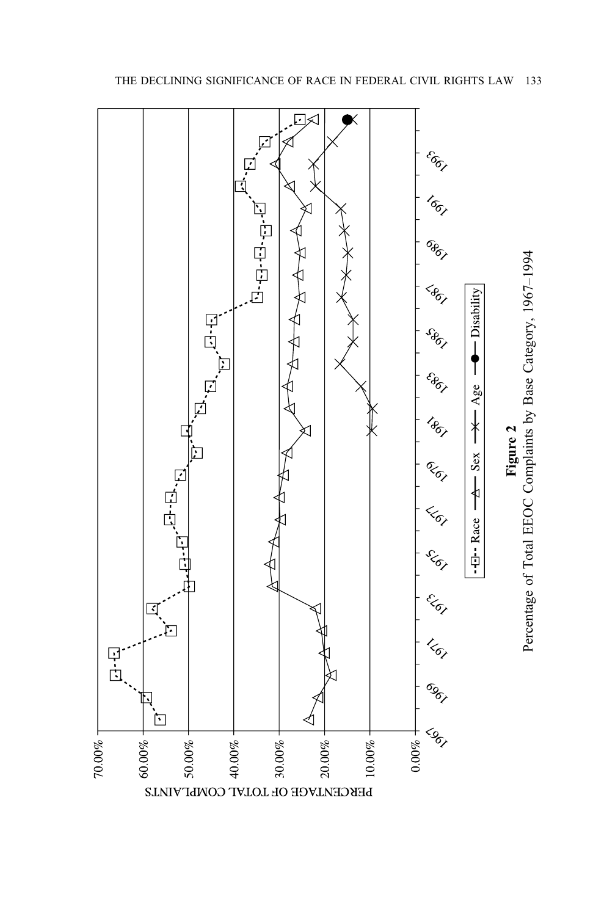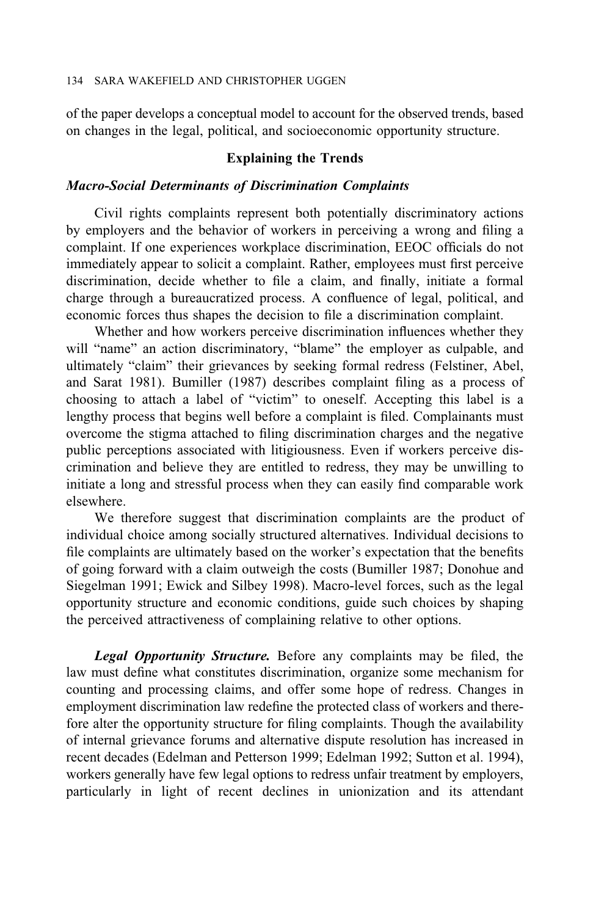of the paper develops a conceptual model to account for the observed trends, based on changes in the legal, political, and socioeconomic opportunity structure.

# **Explaining the Trends**

### *Macro-Social Determinants of Discrimination Complaints*

Civil rights complaints represent both potentially discriminatory actions by employers and the behavior of workers in perceiving a wrong and filing a complaint. If one experiences workplace discrimination, EEOC officials do not immediately appear to solicit a complaint. Rather, employees must first perceive discrimination, decide whether to file a claim, and finally, initiate a formal charge through a bureaucratized process. A confluence of legal, political, and economic forces thus shapes the decision to file a discrimination complaint.

Whether and how workers perceive discrimination influences whether they will "name" an action discriminatory, "blame" the employer as culpable, and ultimately "claim" their grievances by seeking formal redress (Felstiner, Abel, and Sarat 1981). Bumiller (1987) describes complaint filing as a process of choosing to attach a label of "victim" to oneself. Accepting this label is a lengthy process that begins well before a complaint is filed. Complainants must overcome the stigma attached to filing discrimination charges and the negative public perceptions associated with litigiousness. Even if workers perceive discrimination and believe they are entitled to redress, they may be unwilling to initiate a long and stressful process when they can easily find comparable work elsewhere.

We therefore suggest that discrimination complaints are the product of individual choice among socially structured alternatives. Individual decisions to file complaints are ultimately based on the worker's expectation that the benefits of going forward with a claim outweigh the costs (Bumiller 1987; Donohue and Siegelman 1991; Ewick and Silbey 1998). Macro-level forces, such as the legal opportunity structure and economic conditions, guide such choices by shaping the perceived attractiveness of complaining relative to other options.

*Legal Opportunity Structure.* Before any complaints may be filed, the law must define what constitutes discrimination, organize some mechanism for counting and processing claims, and offer some hope of redress. Changes in employment discrimination law redefine the protected class of workers and therefore alter the opportunity structure for filing complaints. Though the availability of internal grievance forums and alternative dispute resolution has increased in recent decades (Edelman and Petterson 1999; Edelman 1992; Sutton et al. 1994), workers generally have few legal options to redress unfair treatment by employers, particularly in light of recent declines in unionization and its attendant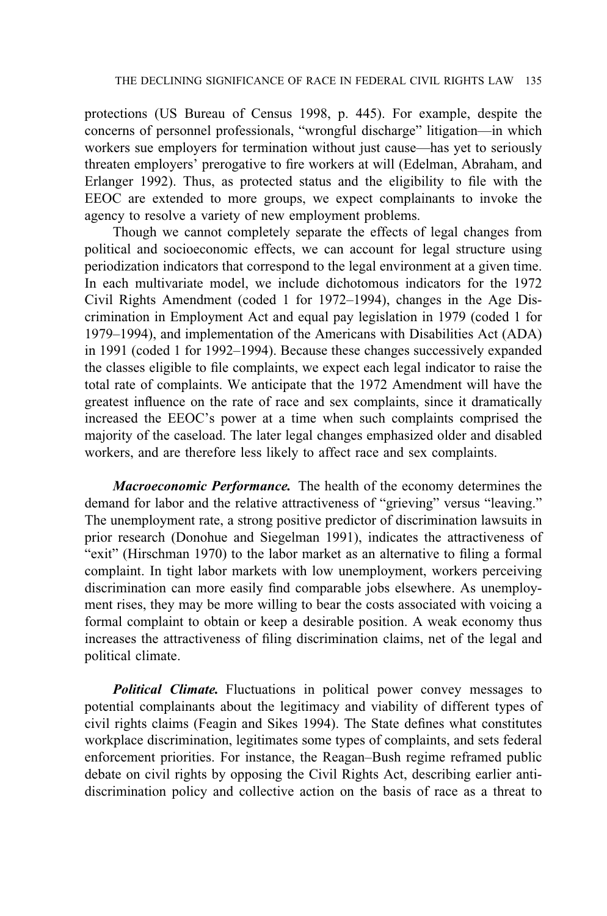protections (US Bureau of Census 1998, p. 445). For example, despite the concerns of personnel professionals, "wrongful discharge" litigation—in which workers sue employers for termination without just cause—has yet to seriously threaten employers' prerogative to fire workers at will (Edelman, Abraham, and Erlanger 1992). Thus, as protected status and the eligibility to file with the EEOC are extended to more groups, we expect complainants to invoke the agency to resolve a variety of new employment problems.

Though we cannot completely separate the effects of legal changes from political and socioeconomic effects, we can account for legal structure using periodization indicators that correspond to the legal environment at a given time. In each multivariate model, we include dichotomous indicators for the 1972 Civil Rights Amendment (coded 1 for 1972–1994), changes in the Age Discrimination in Employment Act and equal pay legislation in 1979 (coded 1 for 1979–1994), and implementation of the Americans with Disabilities Act (ADA) in 1991 (coded 1 for 1992–1994). Because these changes successively expanded the classes eligible to file complaints, we expect each legal indicator to raise the total rate of complaints. We anticipate that the 1972 Amendment will have the greatest influence on the rate of race and sex complaints, since it dramatically increased the EEOC's power at a time when such complaints comprised the majority of the caseload. The later legal changes emphasized older and disabled workers, and are therefore less likely to affect race and sex complaints.

*Macroeconomic Performance.* The health of the economy determines the demand for labor and the relative attractiveness of "grieving" versus "leaving." The unemployment rate, a strong positive predictor of discrimination lawsuits in prior research (Donohue and Siegelman 1991), indicates the attractiveness of "exit" (Hirschman 1970) to the labor market as an alternative to filing a formal complaint. In tight labor markets with low unemployment, workers perceiving discrimination can more easily find comparable jobs elsewhere. As unemployment rises, they may be more willing to bear the costs associated with voicing a formal complaint to obtain or keep a desirable position. A weak economy thus increases the attractiveness of filing discrimination claims, net of the legal and political climate.

*Political Climate.* Fluctuations in political power convey messages to potential complainants about the legitimacy and viability of different types of civil rights claims (Feagin and Sikes 1994). The State defines what constitutes workplace discrimination, legitimates some types of complaints, and sets federal enforcement priorities. For instance, the Reagan–Bush regime reframed public debate on civil rights by opposing the Civil Rights Act, describing earlier antidiscrimination policy and collective action on the basis of race as a threat to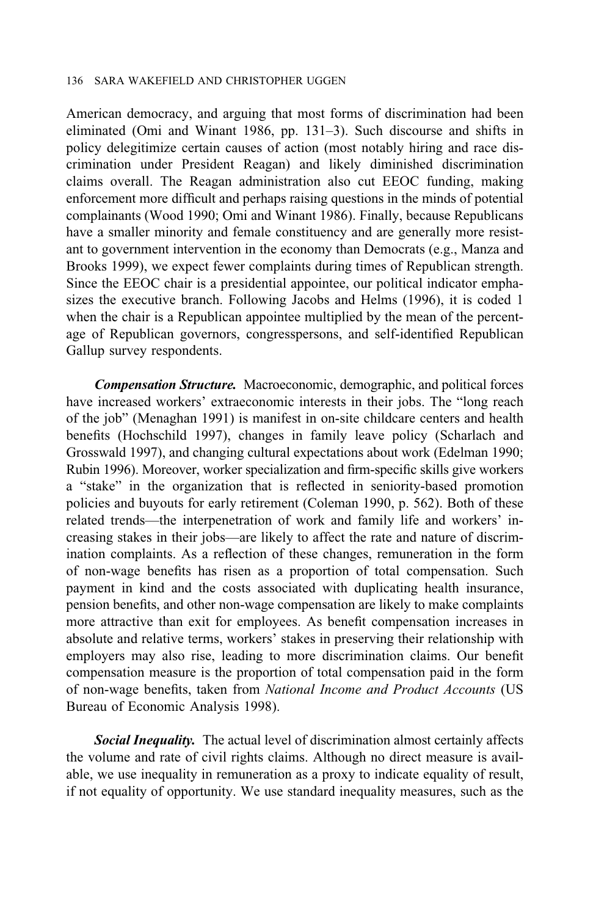American democracy, and arguing that most forms of discrimination had been eliminated (Omi and Winant 1986, pp. 131–3). Such discourse and shifts in policy delegitimize certain causes of action (most notably hiring and race discrimination under President Reagan) and likely diminished discrimination claims overall. The Reagan administration also cut EEOC funding, making enforcement more difficult and perhaps raising questions in the minds of potential complainants (Wood 1990; Omi and Winant 1986). Finally, because Republicans have a smaller minority and female constituency and are generally more resistant to government intervention in the economy than Democrats (e.g., Manza and Brooks 1999), we expect fewer complaints during times of Republican strength. Since the EEOC chair is a presidential appointee, our political indicator emphasizes the executive branch. Following Jacobs and Helms (1996), it is coded 1 when the chair is a Republican appointee multiplied by the mean of the percentage of Republican governors, congresspersons, and self-identified Republican Gallup survey respondents.

*Compensation Structure.* Macroeconomic, demographic, and political forces have increased workers' extraeconomic interests in their jobs. The "long reach of the job" (Menaghan 1991) is manifest in on-site childcare centers and health benefits (Hochschild 1997), changes in family leave policy (Scharlach and Grosswald 1997), and changing cultural expectations about work (Edelman 1990; Rubin 1996). Moreover, worker specialization and firm-specific skills give workers a "stake" in the organization that is reflected in seniority-based promotion policies and buyouts for early retirement (Coleman 1990, p. 562). Both of these related trends—the interpenetration of work and family life and workers' increasing stakes in their jobs—are likely to affect the rate and nature of discrimination complaints. As a reflection of these changes, remuneration in the form of non-wage benefits has risen as a proportion of total compensation. Such payment in kind and the costs associated with duplicating health insurance, pension benefits, and other non-wage compensation are likely to make complaints more attractive than exit for employees. As benefit compensation increases in absolute and relative terms, workers' stakes in preserving their relationship with employers may also rise, leading to more discrimination claims. Our benefit compensation measure is the proportion of total compensation paid in the form of non-wage benefits, taken from *National Income and Product Accounts* (US Bureau of Economic Analysis 1998).

*Social Inequality.* The actual level of discrimination almost certainly affects the volume and rate of civil rights claims. Although no direct measure is available, we use inequality in remuneration as a proxy to indicate equality of result, if not equality of opportunity. We use standard inequality measures, such as the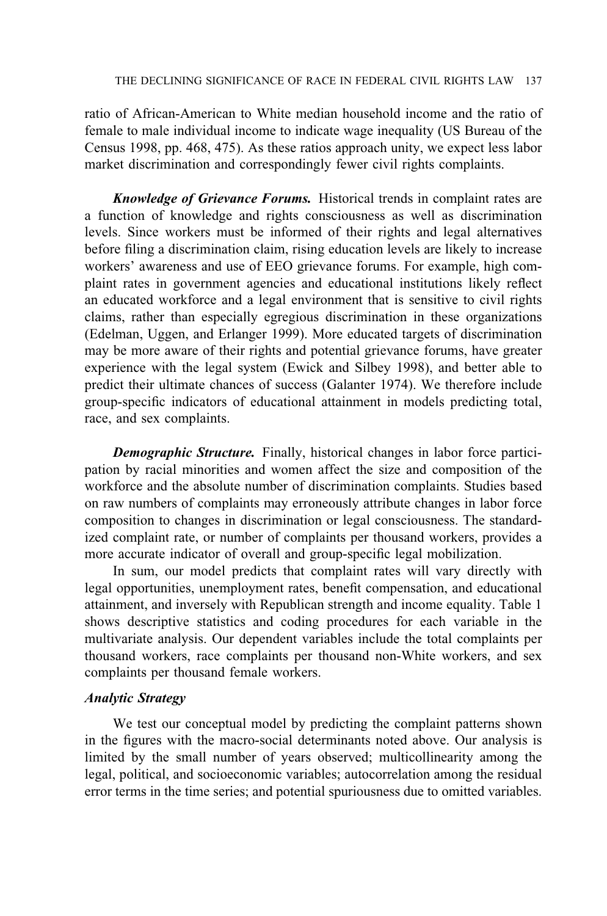ratio of African-American to White median household income and the ratio of female to male individual income to indicate wage inequality (US Bureau of the Census 1998, pp. 468, 475). As these ratios approach unity, we expect less labor market discrimination and correspondingly fewer civil rights complaints.

*Knowledge of Grievance Forums.* Historical trends in complaint rates are a function of knowledge and rights consciousness as well as discrimination levels. Since workers must be informed of their rights and legal alternatives before filing a discrimination claim, rising education levels are likely to increase workers' awareness and use of EEO grievance forums. For example, high complaint rates in government agencies and educational institutions likely reflect an educated workforce and a legal environment that is sensitive to civil rights claims, rather than especially egregious discrimination in these organizations (Edelman, Uggen, and Erlanger 1999). More educated targets of discrimination may be more aware of their rights and potential grievance forums, have greater experience with the legal system (Ewick and Silbey 1998), and better able to predict their ultimate chances of success (Galanter 1974). We therefore include group-specific indicators of educational attainment in models predicting total, race, and sex complaints.

*Demographic Structure.* Finally, historical changes in labor force participation by racial minorities and women affect the size and composition of the workforce and the absolute number of discrimination complaints. Studies based on raw numbers of complaints may erroneously attribute changes in labor force composition to changes in discrimination or legal consciousness. The standardized complaint rate, or number of complaints per thousand workers, provides a more accurate indicator of overall and group-specific legal mobilization.

In sum, our model predicts that complaint rates will vary directly with legal opportunities, unemployment rates, benefit compensation, and educational attainment, and inversely with Republican strength and income equality. Table 1 shows descriptive statistics and coding procedures for each variable in the multivariate analysis. Our dependent variables include the total complaints per thousand workers, race complaints per thousand non-White workers, and sex complaints per thousand female workers.

# *Analytic Strategy*

We test our conceptual model by predicting the complaint patterns shown in the figures with the macro-social determinants noted above. Our analysis is limited by the small number of years observed; multicollinearity among the legal, political, and socioeconomic variables; autocorrelation among the residual error terms in the time series; and potential spuriousness due to omitted variables.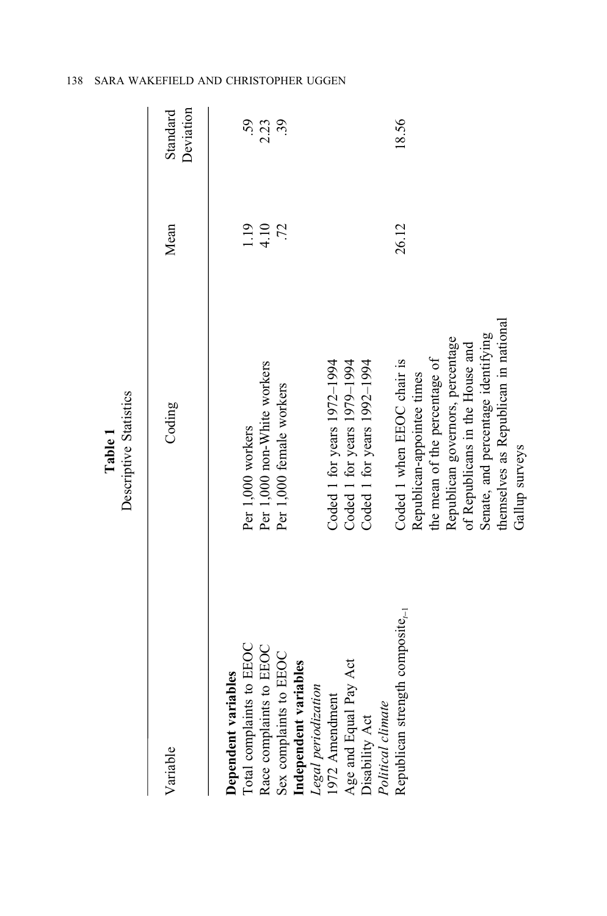|                                        | Descriptive Statistics<br>Table 1    |       |                       |
|----------------------------------------|--------------------------------------|-------|-----------------------|
| Variable                               | Coding                               | Mean  | Standard<br>Deviation |
| Dependent variables                    |                                      |       |                       |
| Total complaints to EEOC               | Per 1,000 workers                    | 1.19  | 59.                   |
| Race complaints to EEOC                | Per 1,000 non-White workers          | 4.10  | 2.23                  |
| Sex complaints to EEOC                 | Per 1,000 female workers             | .72   | 39                    |
| Independent variables                  |                                      |       |                       |
| Legal periodization                    |                                      |       |                       |
| 1972 Amendment                         | Coded 1 for years 1972-1994          |       |                       |
| Age and Equal Pay Act                  | Coded 1 for years $1979 - 1994$      |       |                       |
| Disability Act                         | Coded 1 for years 1992-1994          |       |                       |
| Political climate                      |                                      |       |                       |
| Republican strength composite $_{t-1}$ | Coded 1 when EEOC chair is           | 26.12 | 18.56                 |
|                                        | Republican-appointee times           |       |                       |
|                                        | the mean of the percentage of        |       |                       |
|                                        | Republican governors, percentage     |       |                       |
|                                        | of Republicans in the House and      |       |                       |
|                                        | Senate, and percentage identifying   |       |                       |
|                                        | themselves as Republican in national |       |                       |
|                                        | Gallup surveys                       |       |                       |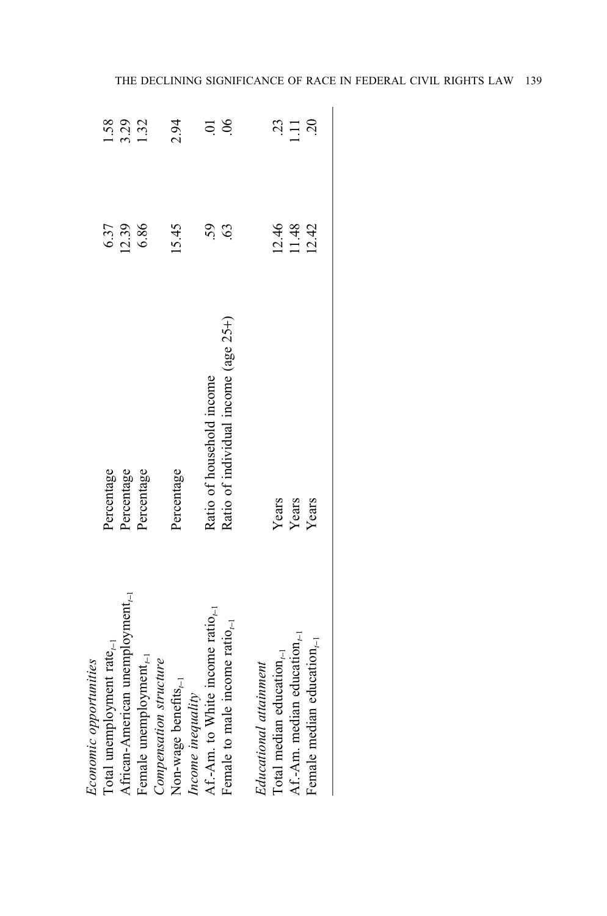|                        | 1.58                             | 3.29                                         | 1.32                         |                        | 2.94                            |                   |                                        | $\delta$                             |                        |                                 | $\Xi$                             | $\overline{20}$                  |
|------------------------|----------------------------------|----------------------------------------------|------------------------------|------------------------|---------------------------------|-------------------|----------------------------------------|--------------------------------------|------------------------|---------------------------------|-----------------------------------|----------------------------------|
|                        | 6.37                             | 12.39                                        | 6.86                         |                        | 15.45                           |                   | 59                                     | $\mathcal{S}$                        |                        | 12.46                           | 11.48                             | 12.42                            |
|                        | Percentage                       | Percentage                                   | Percentage                   |                        | Percentage                      |                   | Ratio of household income              | Ratio of individual income (age 25+) |                        | Years                           | Years                             | Years                            |
| Economic opportunities | Total unemployment rate $_{t-1}$ | African-American unemployment <sub>r-1</sub> | Female unemployment $_{t-1}$ | Compensation structure | Non-wage benefits <sub>-1</sub> | Income inequality | Af.-Am. to White income ratio $_{r=1}$ | Female to male income ratio $_{t-1}$ | Educational attainment | Total median education $_{t-1}$ | Af.-Am. median education $_{r-1}$ | Female median education $_{t-1}$ |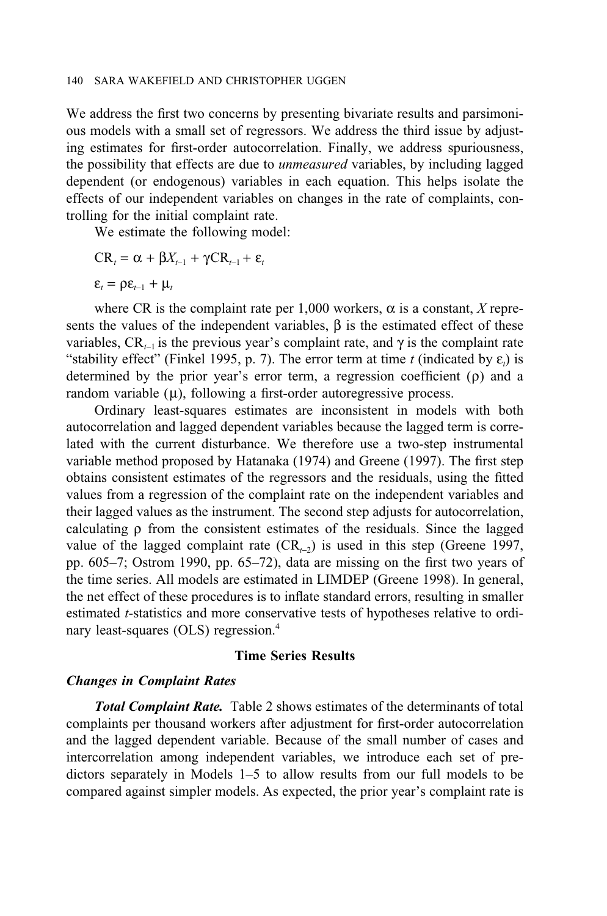We address the first two concerns by presenting bivariate results and parsimonious models with a small set of regressors. We address the third issue by adjusting estimates for first-order autocorrelation. Finally, we address spuriousness, the possibility that effects are due to *unmeasured* variables, by including lagged dependent (or endogenous) variables in each equation. This helps isolate the effects of our independent variables on changes in the rate of complaints, controlling for the initial complaint rate.

We estimate the following model:

$$
CR_t = \alpha + \beta X_{t-1} + \gamma CR_{t-1} + \varepsilon_t
$$

 $\varepsilon_t = \rho \varepsilon_{t-1} + \mu_t$ 

where CR is the complaint rate per 1,000 workers,  $\alpha$  is a constant, *X* represents the values of the independent variables,  $\beta$  is the estimated effect of these variables,  $CR_{r-1}$  is the previous year's complaint rate, and  $\gamma$  is the complaint rate "stability effect" (Finkel 1995, p. 7). The error term at time  $t$  (indicated by  $\varepsilon_t$ ) is determined by the prior year's error term, a regression coefficient (ρ) and a random variable  $(\mu)$ , following a first-order autoregressive process.

Ordinary least-squares estimates are inconsistent in models with both autocorrelation and lagged dependent variables because the lagged term is correlated with the current disturbance. We therefore use a two-step instrumental variable method proposed by Hatanaka (1974) and Greene (1997). The first step obtains consistent estimates of the regressors and the residuals, using the fitted values from a regression of the complaint rate on the independent variables and their lagged values as the instrument. The second step adjusts for autocorrelation, calculating ρ from the consistent estimates of the residuals. Since the lagged value of the lagged complaint rate  $(CR_{\text{⊭}})$  is used in this step (Greene 1997, pp. 605–7; Ostrom 1990, pp. 65–72), data are missing on the first two years of the time series. All models are estimated in LIMDEP (Greene 1998). In general, the net effect of these procedures is to inflate standard errors, resulting in smaller estimated *t*-statistics and more conservative tests of hypotheses relative to ordinary least-squares (OLS) regression.<sup>4</sup>

# **Time Series Results**

### *Changes in Complaint Rates*

*Total Complaint Rate.* Table 2 shows estimates of the determinants of total complaints per thousand workers after adjustment for first-order autocorrelation and the lagged dependent variable. Because of the small number of cases and intercorrelation among independent variables, we introduce each set of predictors separately in Models 1–5 to allow results from our full models to be compared against simpler models. As expected, the prior year's complaint rate is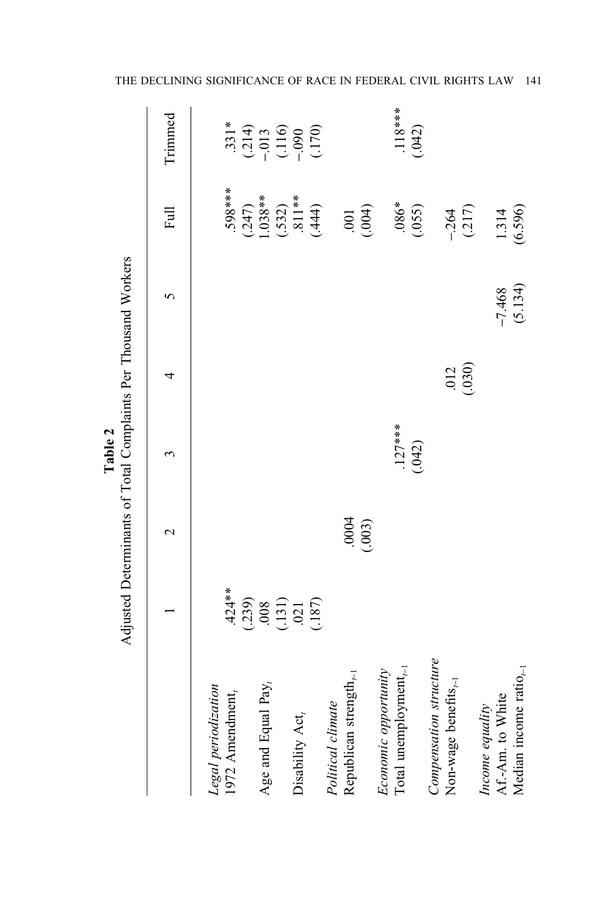| しょくしょうしょく しょく<br>$\overline{\phantom{a}}$<br>֧֧֧֚֚֚֚֚֚֚֚֚֚֚֚֚֚֚֚֚֚֚֚֚֚֚֚֚֚֚֚֚֚֚֚֡֝֓֝֓֝ |
|----------------------------------------------------------------------------------------|
|----------------------------------------------------------------------------------------|

|                                        |                                          | $\mathrel{\sim}$ | 3                  | 4              | 5                   | Full                     | Trimmed                                                   |
|----------------------------------------|------------------------------------------|------------------|--------------------|----------------|---------------------|--------------------------|-----------------------------------------------------------|
| Legal periodization<br>1972 Amendment, | $.424**$                                 |                  |                    |                |                     | ***865.                  | $331*$                                                    |
| Age and Equal Pay,                     | $(339)$<br>$(331)$<br>$(131)$<br>$(187)$ |                  |                    |                |                     | $(.247)$<br>1.038**      | $(214)$<br>$-013$<br>$-100$<br>$-100$<br>$-100$<br>$-100$ |
|                                        |                                          |                  |                    |                |                     | $(.532)$<br>$.811**$     |                                                           |
| Disability Act,                        |                                          |                  |                    |                |                     | (444)                    |                                                           |
| Political climate                      |                                          |                  |                    |                |                     |                          |                                                           |
| Republican strength <sub>-1</sub>      |                                          | .0004<br>(.003)  |                    |                |                     | (.004)<br>$\overline{0}$ |                                                           |
| Economic opportunity                   |                                          |                  |                    |                |                     |                          |                                                           |
| Total unemployment $_{t-1}$            |                                          |                  | $127***$<br>(.042) |                |                     | $*880.$<br>(.055)        | $.118***$<br>(.042)                                       |
| Compensation structure                 |                                          |                  |                    |                |                     |                          |                                                           |
| Non-wage benefits $_{r-1}$             |                                          |                  |                    | (.030)<br>.012 |                     | (217)<br>$-.264$         |                                                           |
| Income equality                        |                                          |                  |                    |                |                     |                          |                                                           |
| Af.-Am. to White                       |                                          |                  |                    |                | $-7.468$<br>(5.134) | 1.314                    |                                                           |
| Median income ratio $_{r-1}$           |                                          |                  |                    |                |                     | (6.596)                  |                                                           |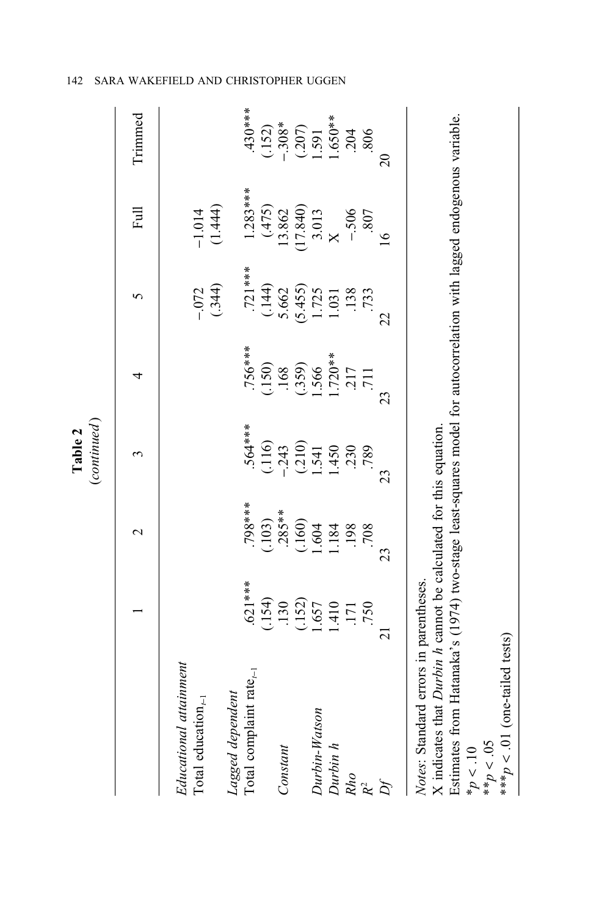|                                                                                                         |                                                                                        |                                                                             | (continued)                                                                                                                       |                                                                                         |                                                                       |                                                            |                                                                                          |
|---------------------------------------------------------------------------------------------------------|----------------------------------------------------------------------------------------|-----------------------------------------------------------------------------|-----------------------------------------------------------------------------------------------------------------------------------|-----------------------------------------------------------------------------------------|-----------------------------------------------------------------------|------------------------------------------------------------|------------------------------------------------------------------------------------------|
|                                                                                                         |                                                                                        | $\overline{\mathcal{C}}$                                                    |                                                                                                                                   | 4                                                                                       |                                                                       | Full                                                       | Trimmed                                                                                  |
| Educational attainment<br>Total education $_{\iota\text{-}1}$                                           |                                                                                        |                                                                             |                                                                                                                                   |                                                                                         |                                                                       |                                                            |                                                                                          |
|                                                                                                         |                                                                                        |                                                                             |                                                                                                                                   |                                                                                         | $-072$<br>(.344)                                                      | $-1.014$<br>(1.444)                                        |                                                                                          |
| $\begin{array}{l} \textit{Laged dependent} \\ \textit{Total complaint rate}_{\textit{r-1}} \end{array}$ |                                                                                        |                                                                             |                                                                                                                                   |                                                                                         |                                                                       |                                                            |                                                                                          |
|                                                                                                         | $.621***$<br>$(.154)$<br>$(.154)$<br>$.130$<br>$(.152)$<br>$.657$<br>$1.410$<br>$.171$ | $798***$<br>$(103)$<br>$285***$<br>$(160)$<br>$1.604$<br>$1.184$<br>$1.184$ | $.564***$<br>$(.116)$<br>$(.116)$<br>$(.116)$<br>$(.116)$<br>$(.116)$<br>$(.116)$<br>$(.116)$<br>$(.116)$<br>$(.116)$<br>$(.116)$ | $.756***$<br>$(.150)$<br>$.168$<br>$.168$<br>$.159$<br>$.17$<br>$.17$<br>$.17$<br>$.11$ | 721***<br>(.144)<br>(.144)<br>5.662<br>5.655<br>1.725<br>1.33<br>1.33 | 1.283***<br>(.475)<br>13.862<br>17.840)<br>3.013<br>X<br>X | $430***$<br>$(152)$<br>$(152)$<br>$(207)$<br>$(207)$<br>$1.650**$<br>$1.650*$<br>$(306)$ |
| Constant                                                                                                |                                                                                        |                                                                             |                                                                                                                                   |                                                                                         |                                                                       |                                                            |                                                                                          |
|                                                                                                         |                                                                                        |                                                                             |                                                                                                                                   |                                                                                         |                                                                       |                                                            |                                                                                          |
| Durbin-Watson                                                                                           |                                                                                        |                                                                             |                                                                                                                                   |                                                                                         |                                                                       |                                                            |                                                                                          |
| Durbin h                                                                                                |                                                                                        |                                                                             |                                                                                                                                   |                                                                                         |                                                                       |                                                            |                                                                                          |
|                                                                                                         |                                                                                        |                                                                             |                                                                                                                                   |                                                                                         |                                                                       |                                                            |                                                                                          |
| $\begin{array}{l} Rho\\ R^2 \end{array}$                                                                |                                                                                        |                                                                             |                                                                                                                                   |                                                                                         |                                                                       | $-506$<br>807                                              |                                                                                          |
|                                                                                                         |                                                                                        |                                                                             | 23                                                                                                                                | 23                                                                                      | 22                                                                    | 16                                                         |                                                                                          |
|                                                                                                         |                                                                                        |                                                                             |                                                                                                                                   |                                                                                         |                                                                       |                                                            |                                                                                          |

**Table 2**

Notes: Standard errors in parentheses. *Notes*: Standard errors in parentheses.

X indicates that Durbin h cannot be calculated for this equation. X indicates that *Durbin h* cannot be calculated for this equation.

Estimates from Hatanaka's (1974) two-stage least-squares model for autocorrelation with lagged endogenous variable. Estimates from Hatanaka's (1974) two-stage least-squares model for autocorrelation with lagged endogenous variable. \*\*\**p* < .01 (one-tailed tests) < .01 (one-tailed tests)< .05  $\frac{1}{\sqrt{2}}$ \*\**p* \**<sup>p</sup>*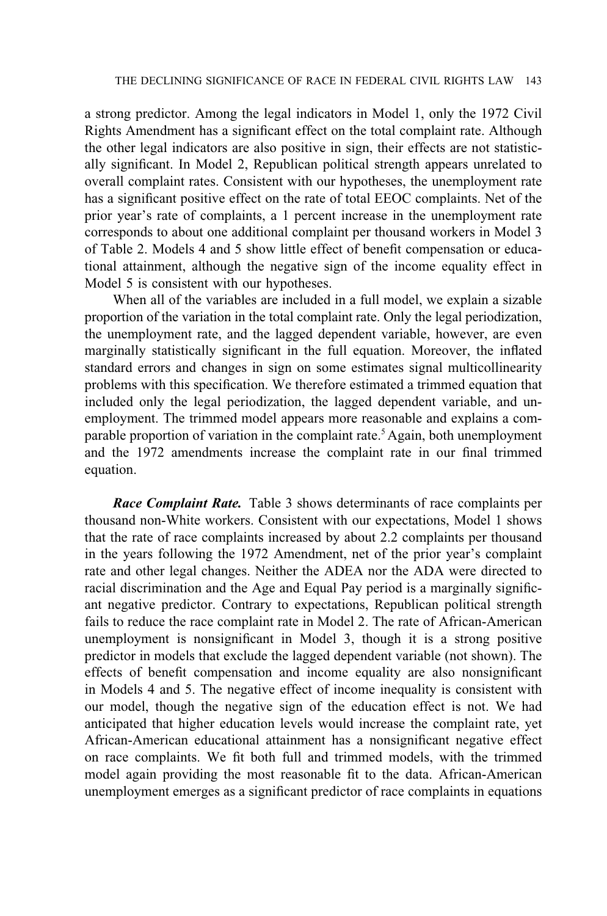a strong predictor. Among the legal indicators in Model 1, only the 1972 Civil Rights Amendment has a significant effect on the total complaint rate. Although the other legal indicators are also positive in sign, their effects are not statistically significant. In Model 2, Republican political strength appears unrelated to overall complaint rates. Consistent with our hypotheses, the unemployment rate has a significant positive effect on the rate of total EEOC complaints. Net of the prior year's rate of complaints, a 1 percent increase in the unemployment rate corresponds to about one additional complaint per thousand workers in Model 3 of Table 2. Models 4 and 5 show little effect of benefit compensation or educational attainment, although the negative sign of the income equality effect in Model 5 is consistent with our hypotheses.

When all of the variables are included in a full model, we explain a sizable proportion of the variation in the total complaint rate. Only the legal periodization, the unemployment rate, and the lagged dependent variable, however, are even marginally statistically significant in the full equation. Moreover, the inflated standard errors and changes in sign on some estimates signal multicollinearity problems with this specification. We therefore estimated a trimmed equation that included only the legal periodization, the lagged dependent variable, and unemployment. The trimmed model appears more reasonable and explains a comparable proportion of variation in the complaint rate.<sup>5</sup> Again, both unemployment and the 1972 amendments increase the complaint rate in our final trimmed equation.

*Race Complaint Rate.* Table 3 shows determinants of race complaints per thousand non-White workers. Consistent with our expectations, Model 1 shows that the rate of race complaints increased by about 2.2 complaints per thousand in the years following the 1972 Amendment, net of the prior year's complaint rate and other legal changes. Neither the ADEA nor the ADA were directed to racial discrimination and the Age and Equal Pay period is a marginally significant negative predictor. Contrary to expectations, Republican political strength fails to reduce the race complaint rate in Model 2. The rate of African-American unemployment is nonsignificant in Model 3, though it is a strong positive predictor in models that exclude the lagged dependent variable (not shown). The effects of benefit compensation and income equality are also nonsignificant in Models 4 and 5. The negative effect of income inequality is consistent with our model, though the negative sign of the education effect is not. We had anticipated that higher education levels would increase the complaint rate, yet African-American educational attainment has a nonsignificant negative effect on race complaints. We fit both full and trimmed models, with the trimmed model again providing the most reasonable fit to the data. African-American unemployment emerges as a significant predictor of race complaints in equations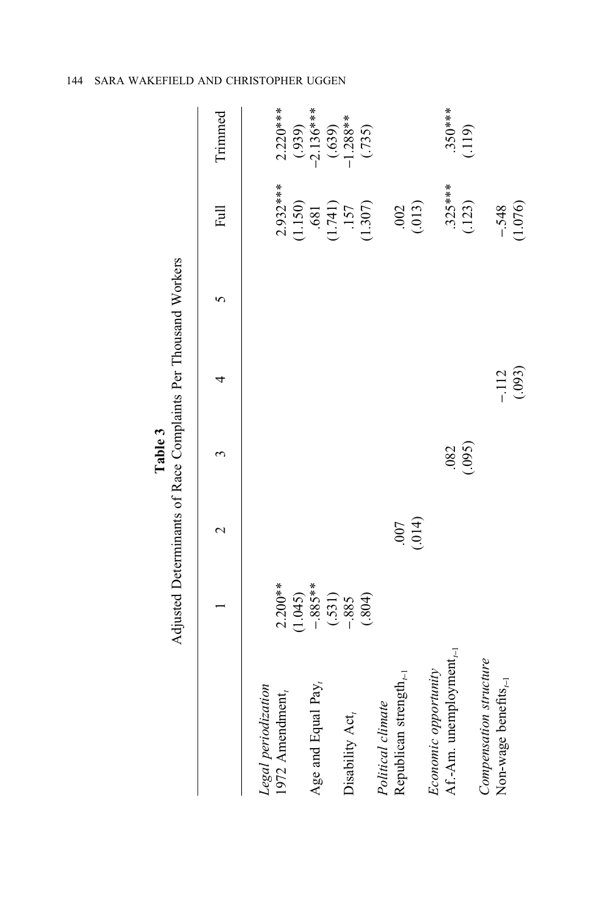| $\frac{1}{2}$<br>l                                  |
|-----------------------------------------------------|
|                                                     |
| $\ddot{\cdot}$                                      |
| malointo I<br>kare Li<br>)<br>}<br>ᅎ<br>יירי היירדי |
|                                                     |
|                                                     |

|                                        | Adjusted Determinants of Race Complaints Per Thousand Workers |                  | Table 3        |        |                                                        |                        |
|----------------------------------------|---------------------------------------------------------------|------------------|----------------|--------|--------------------------------------------------------|------------------------|
|                                        |                                                               | $\mathrel{\sim}$ |                | 4      | Full                                                   | Trimmed                |
| Legal periodization<br>1972 Amendment, | $2.200**$                                                     |                  |                |        | $2.932***$                                             | $2.220***$             |
|                                        | (1.045)                                                       |                  |                |        | (1.150)                                                | $(0.939)$<br>-2.136*** |
| Age and Equal Pay,                     | $-.885**$                                                     |                  |                |        |                                                        |                        |
| Disability Act,                        | $(-531)$<br>$-885$                                            |                  |                |        | $\begin{array}{c} .681 \\ (1.741) \\ .157 \end{array}$ | $(0.639)$<br>-1.288**  |
| Political climate                      | (.804)                                                        |                  |                |        | (1.307)                                                | (.735)                 |
| Republican strength $_{t-1}$           |                                                               | (.014)<br>.007   |                |        | (.013)<br>.002                                         |                        |
| Economic opportunity                   |                                                               |                  |                |        |                                                        |                        |
| Af.-Am. unemployment <sub>r-1</sub>    |                                                               |                  | (.095)<br>.082 |        | $.325***$<br>(.123)                                    | 350***<br>(.119)       |
| Compensation structure                 |                                                               |                  |                |        |                                                        |                        |
| Non-wage benefits $_{r-1}$             |                                                               |                  |                | $-112$ | $-.548$                                                |                        |
|                                        |                                                               |                  |                | (.093) | (1.076)                                                |                        |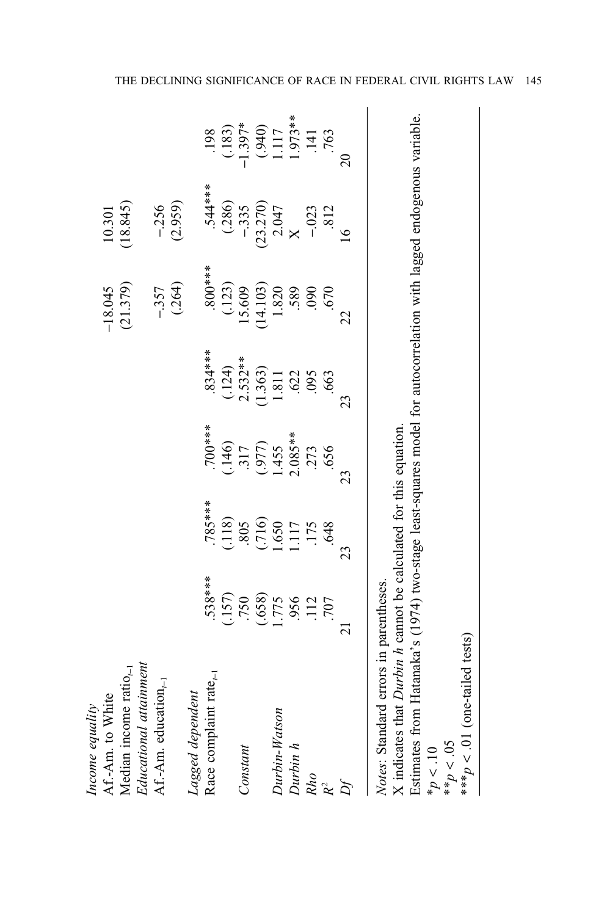| Educational attainment<br>Median income ratio $_{t-1}$<br>Race complaint rate $_{r-1}$<br>Af.-Am. education $_{n=1}$<br>Lagged dependent<br>Af.-Am. to White<br>Income equality                                                                                                                            | 538***                                                   | 185****                          | 700***                                              | 834****                           | $****008.$<br>(.264)<br>(21.379)<br>$-18.045$<br>$-.357$ | .544****<br>(2.959)<br>(18.845)<br>$-.256$<br>10.301      | 198                                                               |
|------------------------------------------------------------------------------------------------------------------------------------------------------------------------------------------------------------------------------------------------------------------------------------------------------------|----------------------------------------------------------|----------------------------------|-----------------------------------------------------|-----------------------------------|----------------------------------------------------------|-----------------------------------------------------------|-------------------------------------------------------------------|
| Constant                                                                                                                                                                                                                                                                                                   | (.157)<br>.750                                           | (118)<br>(.716)<br>805           | (146)<br>.317                                       | $2.532**$<br>(.124)<br>1.363)     | (.123)<br>(14.103)<br>15.609                             | (.286)<br>$-.335$                                         | 1.397*<br>(.183)                                                  |
| Durbin-Watson<br>Durbin h<br>Rho<br>$\beta$<br>$\mathcal{R}^2$                                                                                                                                                                                                                                             | $(658)$<br>1.775<br>956<br>707<br>.112<br>$\overline{c}$ | .650<br>117<br>175<br>.648<br>23 | $2.085***$<br>$(977)$<br>1.455<br>273<br>.656<br>23 | .622<br>095<br>663<br>1.811<br>23 | 1.820<br>589<br>.670<br>0.60<br>22                       | $(23.270)$<br>$2.047$<br>812<br>$-.023$<br>$\overline{6}$ | $1.973**$<br>(0.940)<br>763<br>$\overline{141}$<br>$\overline{c}$ |
| Estimates from Hatanaka's (1974) two-stage least-squares model for autocorrelation with lagged endogenous variable.<br>X indicates that Durbin h cannot be calculated for this equation.<br>Notes: Standard errors in parentheses.<br>*** $p < .01$ (one-tailed tests)<br>$50 \leq a_{**}$<br>$^{*}p < 10$ |                                                          |                                  |                                                     |                                   |                                                          |                                                           |                                                                   |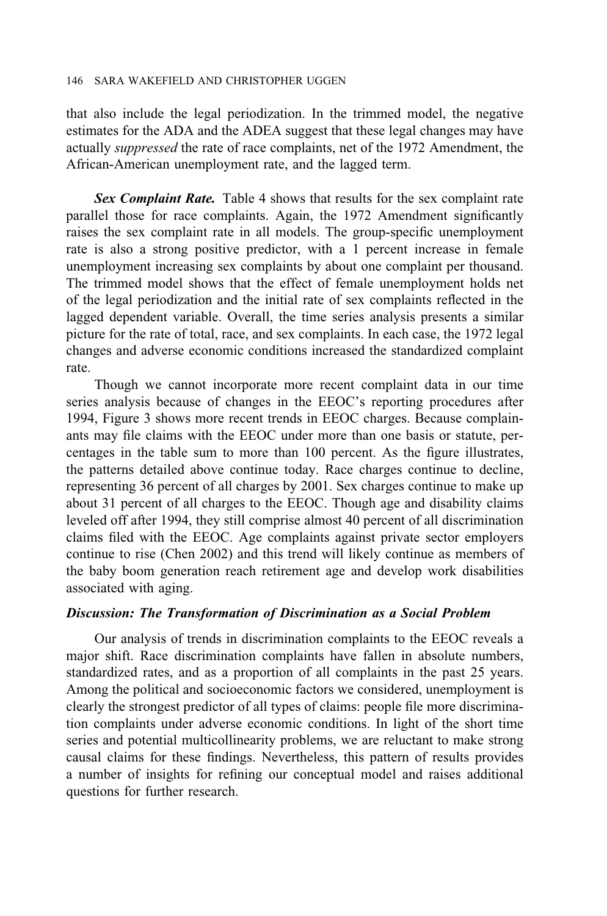that also include the legal periodization. In the trimmed model, the negative estimates for the ADA and the ADEA suggest that these legal changes may have actually *suppressed* the rate of race complaints, net of the 1972 Amendment, the African-American unemployment rate, and the lagged term.

*Sex Complaint Rate.* Table 4 shows that results for the sex complaint rate parallel those for race complaints. Again, the 1972 Amendment significantly raises the sex complaint rate in all models. The group-specific unemployment rate is also a strong positive predictor, with a 1 percent increase in female unemployment increasing sex complaints by about one complaint per thousand. The trimmed model shows that the effect of female unemployment holds net of the legal periodization and the initial rate of sex complaints reflected in the lagged dependent variable. Overall, the time series analysis presents a similar picture for the rate of total, race, and sex complaints. In each case, the 1972 legal changes and adverse economic conditions increased the standardized complaint rate.

Though we cannot incorporate more recent complaint data in our time series analysis because of changes in the EEOC's reporting procedures after 1994, Figure 3 shows more recent trends in EEOC charges. Because complainants may file claims with the EEOC under more than one basis or statute, percentages in the table sum to more than 100 percent. As the figure illustrates, the patterns detailed above continue today. Race charges continue to decline, representing 36 percent of all charges by 2001. Sex charges continue to make up about 31 percent of all charges to the EEOC. Though age and disability claims leveled off after 1994, they still comprise almost 40 percent of all discrimination claims filed with the EEOC. Age complaints against private sector employers continue to rise (Chen 2002) and this trend will likely continue as members of the baby boom generation reach retirement age and develop work disabilities associated with aging.

### *Discussion: The Transformation of Discrimination as a Social Problem*

Our analysis of trends in discrimination complaints to the EEOC reveals a major shift. Race discrimination complaints have fallen in absolute numbers, standardized rates, and as a proportion of all complaints in the past 25 years. Among the political and socioeconomic factors we considered, unemployment is clearly the strongest predictor of all types of claims: people file more discrimination complaints under adverse economic conditions. In light of the short time series and potential multicollinearity problems, we are reluctant to make strong causal claims for these findings. Nevertheless, this pattern of results provides a number of insights for refining our conceptual model and raises additional questions for further research.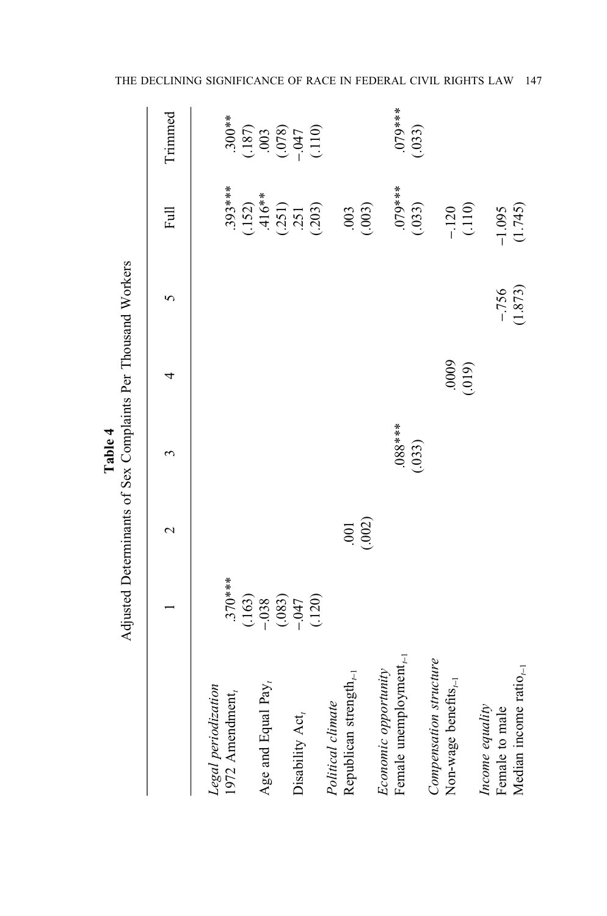|                              |                                            |                  |           |        | Adjusted Determinants of Sex Complaints Per Thousand Workers |                  |                                                     |
|------------------------------|--------------------------------------------|------------------|-----------|--------|--------------------------------------------------------------|------------------|-----------------------------------------------------|
|                              |                                            | $\mathrel{\sim}$ | 3         | 4      | 5                                                            | Eul              | Trimmed                                             |
| Legal periodization          |                                            |                  |           |        |                                                              |                  |                                                     |
| 1972 Amendment,              | $.370***$                                  |                  |           |        |                                                              | 393***           | $.300**$                                            |
|                              |                                            |                  |           |        |                                                              | (.152)           |                                                     |
| Age and Equal Pay,           |                                            |                  |           |        |                                                              | $.416**$         |                                                     |
|                              |                                            |                  |           |        |                                                              |                  |                                                     |
| Disability Act,              | $(.163)$<br>$-.038$<br>$(.083)$<br>$-.047$ |                  |           |        |                                                              | $(251)$<br>$251$ | $(187)$<br>$(003)$<br>$(003)$<br>$(003)$<br>$(001)$ |
|                              | (.120)                                     |                  |           |        |                                                              | (.203)           |                                                     |
| Political climate            |                                            |                  |           |        |                                                              |                  |                                                     |
| Republican strength $_{r-1}$ |                                            | $\overline{0}$   |           |        |                                                              | .003             |                                                     |
|                              |                                            | (.002)           |           |        |                                                              | (.003)           |                                                     |
| Economic opportunity         |                                            |                  |           |        |                                                              |                  |                                                     |
| Female unemployment $_{t-1}$ |                                            |                  | $0.88***$ |        |                                                              | .079****         | $-079***$                                           |
|                              |                                            |                  | (.033)    |        |                                                              | (.033)           | (.033)                                              |
| Compensation structure       |                                            |                  |           |        |                                                              |                  |                                                     |
| Non-wage benefits $_{i=1}$   |                                            |                  |           | .0009  |                                                              | $-120$           |                                                     |
|                              |                                            |                  |           | (.019) |                                                              | (.110)           |                                                     |
| Income equality              |                                            |                  |           |        |                                                              |                  |                                                     |
| Female to male               |                                            |                  |           |        | $-756$                                                       | $-1.095$         |                                                     |
| Median income ratio $_{t-1}$ |                                            |                  |           |        | (1.873)                                                      | (1.745)          |                                                     |

Adjusted Determinants of Sex Conplaints Per Thousand Workers **Table 4**

THE DECLINING SIGNIFICANCE OF RACE IN FEDERAL CIVIL RIGHTS LAW 147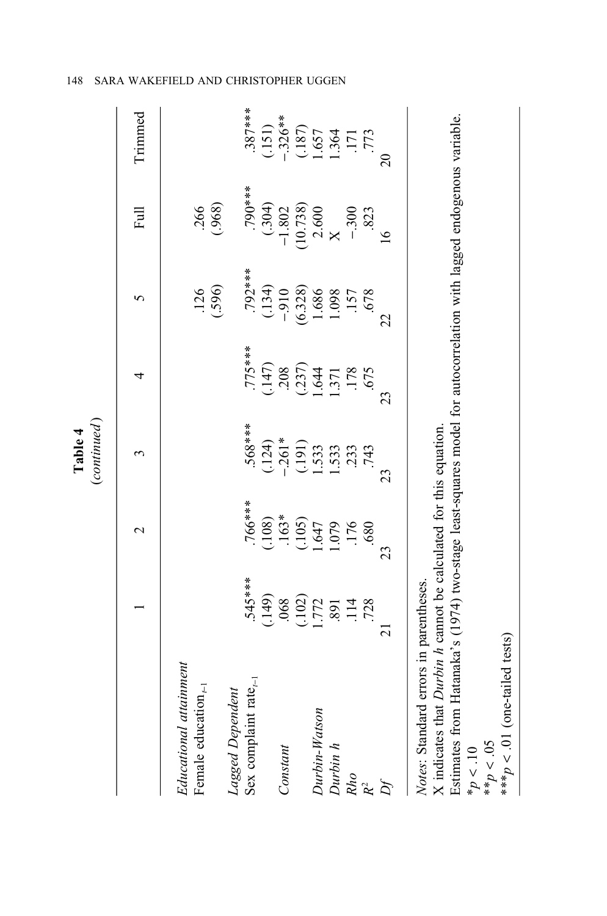|                                                                                                                                                                                                                                                                   |                                         |                                          | (continued)                                         |                                        |                    |                      |                                                                 |
|-------------------------------------------------------------------------------------------------------------------------------------------------------------------------------------------------------------------------------------------------------------------|-----------------------------------------|------------------------------------------|-----------------------------------------------------|----------------------------------------|--------------------|----------------------|-----------------------------------------------------------------|
|                                                                                                                                                                                                                                                                   |                                         | $\mathsf{C}$                             | m                                                   | 4                                      | 5                  | Full                 | Trimmed                                                         |
| Educational attainment<br>Female education $_{t=1}$                                                                                                                                                                                                               |                                         |                                          |                                                     |                                        | .126               | .266                 |                                                                 |
| Lagged Dependent                                                                                                                                                                                                                                                  |                                         |                                          |                                                     |                                        | (.596)             | (.968)               |                                                                 |
| Sex complaint rate $_{t-1}$                                                                                                                                                                                                                                       | 545 ***                                 | ***99.                                   | $.568***$                                           | 775***                                 | (134)              | $***067$ .           | $.387***$                                                       |
|                                                                                                                                                                                                                                                                   |                                         | .108)                                    |                                                     |                                        |                    | (.304)               |                                                                 |
| Constant                                                                                                                                                                                                                                                          |                                         |                                          |                                                     |                                        | $-910$             |                      |                                                                 |
|                                                                                                                                                                                                                                                                   | $(149)$<br>$.068$<br>$(102)$<br>$(172)$ | $.163$<br>$(.105)$<br>$1.647$<br>$1.079$ | $(124)$<br>$-261*$<br>$(191)$<br>$1.533$<br>$1.533$ | $(147)$<br>$208$<br>$(237)$<br>$(344)$ |                    | $-1.802$<br>(10.738) | $(151)$<br>$-326**$<br>$(187)$<br>$1.657$<br>$1.364$<br>$1.364$ |
| Durbin-Watson                                                                                                                                                                                                                                                     |                                         |                                          |                                                     |                                        | $(6.328)$<br>1.686 | $\frac{2.600}{X}$    |                                                                 |
| Durbin h                                                                                                                                                                                                                                                          | .891                                    |                                          |                                                     | 1.371                                  | 1.098              |                      |                                                                 |
|                                                                                                                                                                                                                                                                   | .114                                    | .176                                     | .233                                                | .178                                   | .157               | $-.300$              |                                                                 |
| ರ<br>ಜ<br>ರ್                                                                                                                                                                                                                                                      | .728                                    | .680                                     | 743                                                 | .675                                   | .678               | .823                 | .773                                                            |
|                                                                                                                                                                                                                                                                   | $\overline{c}$                          | 23                                       | 23                                                  |                                        | 22                 | $\overline{6}$       | $\overline{6}$                                                  |
| Estimates from Hatanaka's (1974) two-stage least-squares model for autocorrelation with lagged endogenous variable.<br>X indicates that Durbin h cannot be calculated for this equation.<br>Notes: Standard errors in parentheses.<br>$k_p < 10$<br>$k*_p < 0.05$ |                                         |                                          |                                                     |                                        |                    |                      |                                                                 |

\*\*\**p*

< .01 (one-tailed tests)

**Table 4** (continued)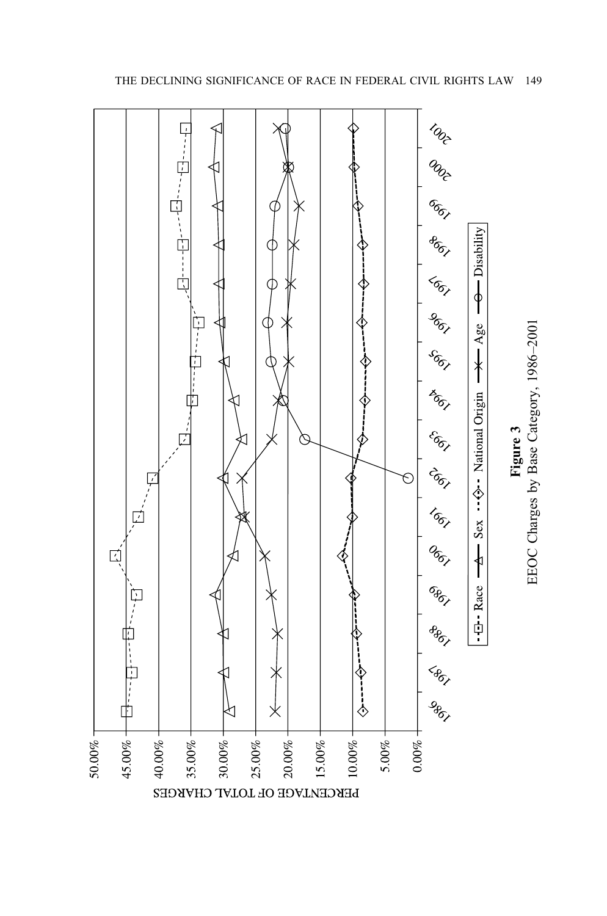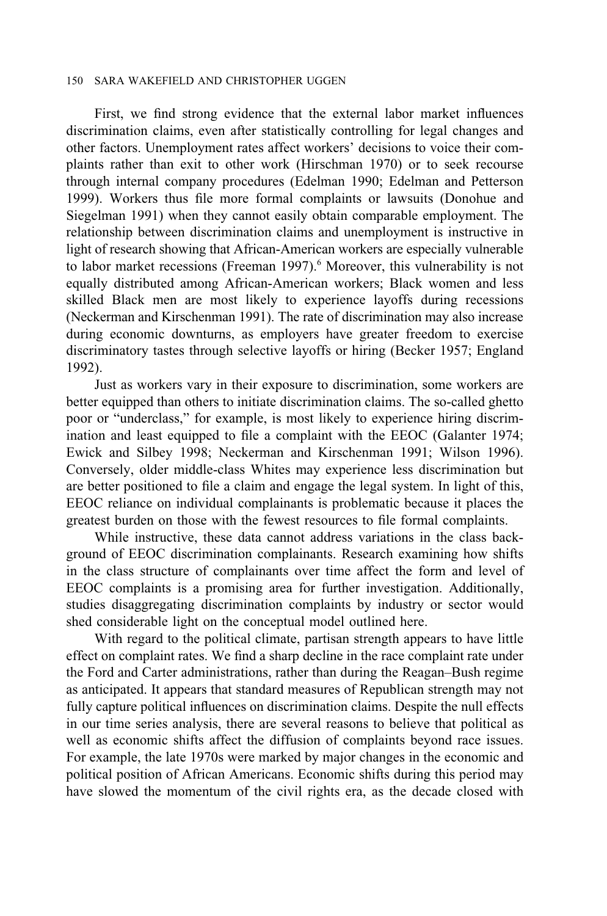First, we find strong evidence that the external labor market influences discrimination claims, even after statistically controlling for legal changes and other factors. Unemployment rates affect workers' decisions to voice their complaints rather than exit to other work (Hirschman 1970) or to seek recourse through internal company procedures (Edelman 1990; Edelman and Petterson 1999). Workers thus file more formal complaints or lawsuits (Donohue and Siegelman 1991) when they cannot easily obtain comparable employment. The relationship between discrimination claims and unemployment is instructive in light of research showing that African-American workers are especially vulnerable to labor market recessions (Freeman 1997).<sup>6</sup> Moreover, this vulnerability is not equally distributed among African-American workers; Black women and less skilled Black men are most likely to experience layoffs during recessions (Neckerman and Kirschenman 1991). The rate of discrimination may also increase during economic downturns, as employers have greater freedom to exercise discriminatory tastes through selective layoffs or hiring (Becker 1957; England 1992).

Just as workers vary in their exposure to discrimination, some workers are better equipped than others to initiate discrimination claims. The so-called ghetto poor or "underclass," for example, is most likely to experience hiring discrimination and least equipped to file a complaint with the EEOC (Galanter 1974; Ewick and Silbey 1998; Neckerman and Kirschenman 1991; Wilson 1996). Conversely, older middle-class Whites may experience less discrimination but are better positioned to file a claim and engage the legal system. In light of this, EEOC reliance on individual complainants is problematic because it places the greatest burden on those with the fewest resources to file formal complaints.

While instructive, these data cannot address variations in the class background of EEOC discrimination complainants. Research examining how shifts in the class structure of complainants over time affect the form and level of EEOC complaints is a promising area for further investigation. Additionally, studies disaggregating discrimination complaints by industry or sector would shed considerable light on the conceptual model outlined here.

With regard to the political climate, partisan strength appears to have little effect on complaint rates. We find a sharp decline in the race complaint rate under the Ford and Carter administrations, rather than during the Reagan–Bush regime as anticipated. It appears that standard measures of Republican strength may not fully capture political influences on discrimination claims. Despite the null effects in our time series analysis, there are several reasons to believe that political as well as economic shifts affect the diffusion of complaints beyond race issues. For example, the late 1970s were marked by major changes in the economic and political position of African Americans. Economic shifts during this period may have slowed the momentum of the civil rights era, as the decade closed with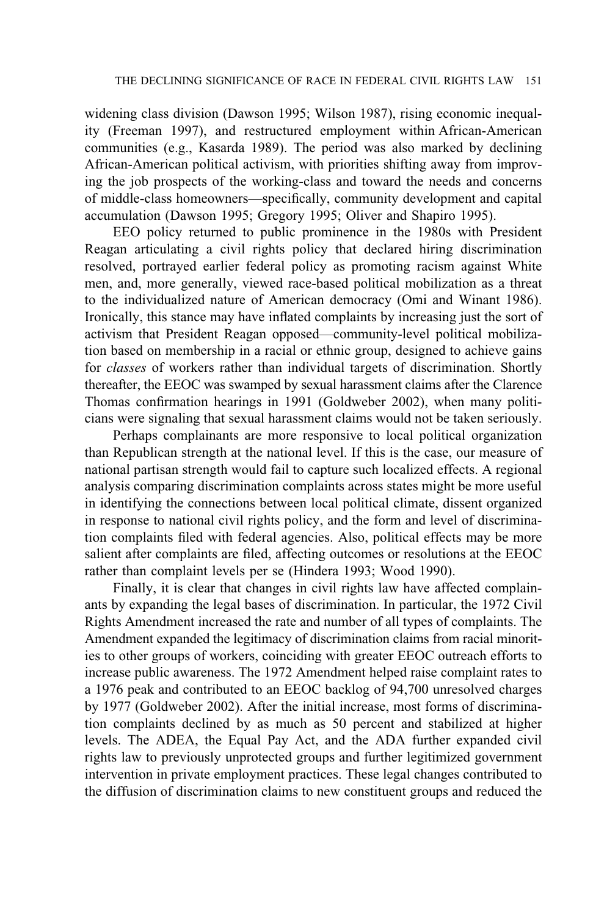widening class division (Dawson 1995; Wilson 1987), rising economic inequality (Freeman 1997), and restructured employment within African-American communities (e.g., Kasarda 1989). The period was also marked by declining African-American political activism, with priorities shifting away from improving the job prospects of the working-class and toward the needs and concerns of middle-class homeowners—specifically, community development and capital accumulation (Dawson 1995; Gregory 1995; Oliver and Shapiro 1995).

EEO policy returned to public prominence in the 1980s with President Reagan articulating a civil rights policy that declared hiring discrimination resolved, portrayed earlier federal policy as promoting racism against White men, and, more generally, viewed race-based political mobilization as a threat to the individualized nature of American democracy (Omi and Winant 1986). Ironically, this stance may have inflated complaints by increasing just the sort of activism that President Reagan opposed—community-level political mobilization based on membership in a racial or ethnic group, designed to achieve gains for *classes* of workers rather than individual targets of discrimination. Shortly thereafter, the EEOC was swamped by sexual harassment claims after the Clarence Thomas confirmation hearings in 1991 (Goldweber 2002), when many politicians were signaling that sexual harassment claims would not be taken seriously.

Perhaps complainants are more responsive to local political organization than Republican strength at the national level. If this is the case, our measure of national partisan strength would fail to capture such localized effects. A regional analysis comparing discrimination complaints across states might be more useful in identifying the connections between local political climate, dissent organized in response to national civil rights policy, and the form and level of discrimination complaints filed with federal agencies. Also, political effects may be more salient after complaints are filed, affecting outcomes or resolutions at the EEOC rather than complaint levels per se (Hindera 1993; Wood 1990).

Finally, it is clear that changes in civil rights law have affected complainants by expanding the legal bases of discrimination. In particular, the 1972 Civil Rights Amendment increased the rate and number of all types of complaints. The Amendment expanded the legitimacy of discrimination claims from racial minorities to other groups of workers, coinciding with greater EEOC outreach efforts to increase public awareness. The 1972 Amendment helped raise complaint rates to a 1976 peak and contributed to an EEOC backlog of 94,700 unresolved charges by 1977 (Goldweber 2002). After the initial increase, most forms of discrimination complaints declined by as much as 50 percent and stabilized at higher levels. The ADEA, the Equal Pay Act, and the ADA further expanded civil rights law to previously unprotected groups and further legitimized government intervention in private employment practices. These legal changes contributed to the diffusion of discrimination claims to new constituent groups and reduced the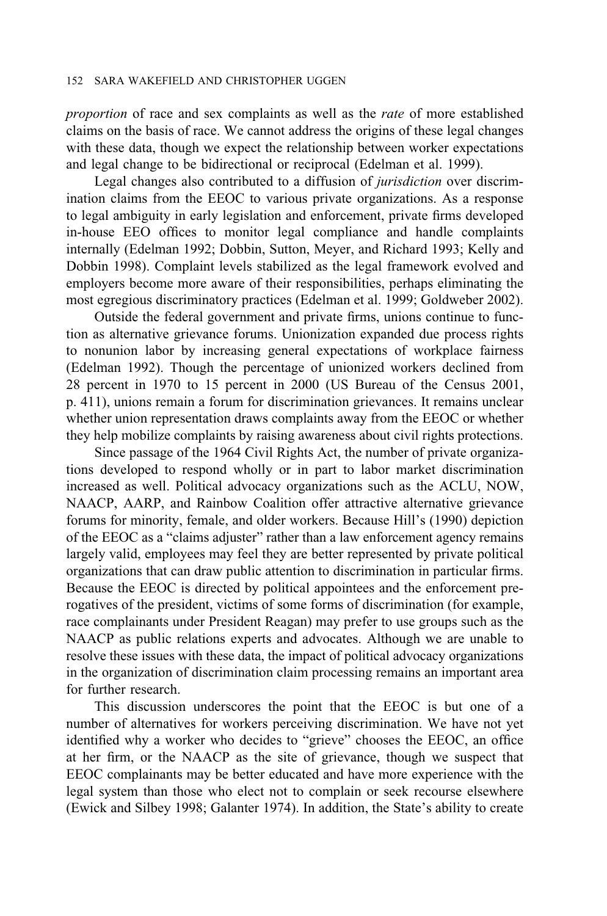*proportion* of race and sex complaints as well as the *rate* of more established claims on the basis of race. We cannot address the origins of these legal changes with these data, though we expect the relationship between worker expectations and legal change to be bidirectional or reciprocal (Edelman et al. 1999).

Legal changes also contributed to a diffusion of *jurisdiction* over discrimination claims from the EEOC to various private organizations. As a response to legal ambiguity in early legislation and enforcement, private firms developed in-house EEO offices to monitor legal compliance and handle complaints internally (Edelman 1992; Dobbin, Sutton, Meyer, and Richard 1993; Kelly and Dobbin 1998). Complaint levels stabilized as the legal framework evolved and employers become more aware of their responsibilities, perhaps eliminating the most egregious discriminatory practices (Edelman et al. 1999; Goldweber 2002).

Outside the federal government and private firms, unions continue to function as alternative grievance forums. Unionization expanded due process rights to nonunion labor by increasing general expectations of workplace fairness (Edelman 1992). Though the percentage of unionized workers declined from 28 percent in 1970 to 15 percent in 2000 (US Bureau of the Census 2001, p. 411), unions remain a forum for discrimination grievances. It remains unclear whether union representation draws complaints away from the EEOC or whether they help mobilize complaints by raising awareness about civil rights protections.

Since passage of the 1964 Civil Rights Act, the number of private organizations developed to respond wholly or in part to labor market discrimination increased as well. Political advocacy organizations such as the ACLU, NOW, NAACP, AARP, and Rainbow Coalition offer attractive alternative grievance forums for minority, female, and older workers. Because Hill's (1990) depiction of the EEOC as a "claims adjuster" rather than a law enforcement agency remains largely valid, employees may feel they are better represented by private political organizations that can draw public attention to discrimination in particular firms. Because the EEOC is directed by political appointees and the enforcement prerogatives of the president, victims of some forms of discrimination (for example, race complainants under President Reagan) may prefer to use groups such as the NAACP as public relations experts and advocates. Although we are unable to resolve these issues with these data, the impact of political advocacy organizations in the organization of discrimination claim processing remains an important area for further research.

This discussion underscores the point that the EEOC is but one of a number of alternatives for workers perceiving discrimination. We have not yet identified why a worker who decides to "grieve" chooses the EEOC, an office at her firm, or the NAACP as the site of grievance, though we suspect that EEOC complainants may be better educated and have more experience with the legal system than those who elect not to complain or seek recourse elsewhere (Ewick and Silbey 1998; Galanter 1974). In addition, the State's ability to create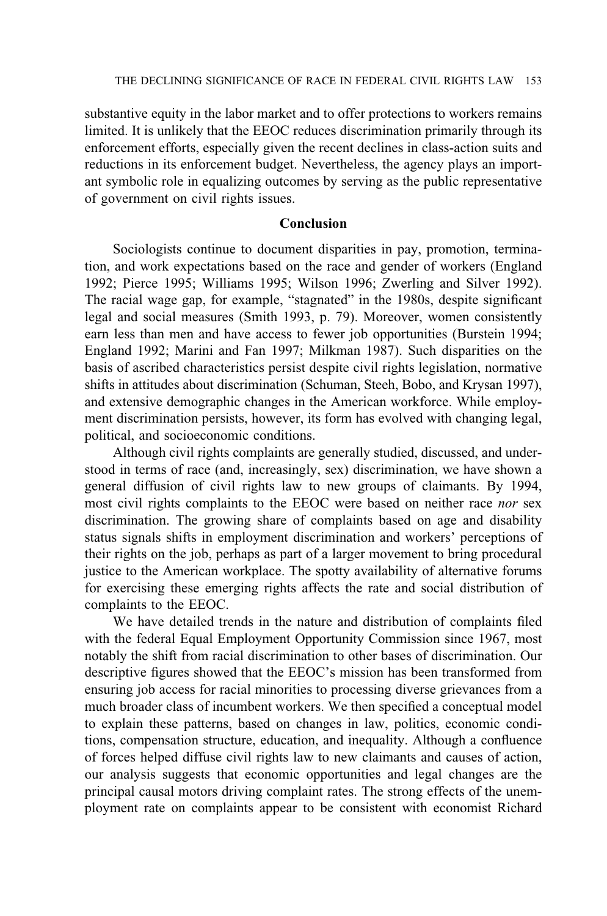substantive equity in the labor market and to offer protections to workers remains limited. It is unlikely that the EEOC reduces discrimination primarily through its enforcement efforts, especially given the recent declines in class-action suits and reductions in its enforcement budget. Nevertheless, the agency plays an important symbolic role in equalizing outcomes by serving as the public representative of government on civil rights issues.

# **Conclusion**

Sociologists continue to document disparities in pay, promotion, termination, and work expectations based on the race and gender of workers (England 1992; Pierce 1995; Williams 1995; Wilson 1996; Zwerling and Silver 1992). The racial wage gap, for example, "stagnated" in the 1980s, despite significant legal and social measures (Smith 1993, p. 79). Moreover, women consistently earn less than men and have access to fewer job opportunities (Burstein 1994; England 1992; Marini and Fan 1997; Milkman 1987). Such disparities on the basis of ascribed characteristics persist despite civil rights legislation, normative shifts in attitudes about discrimination (Schuman, Steeh, Bobo, and Krysan 1997), and extensive demographic changes in the American workforce. While employment discrimination persists, however, its form has evolved with changing legal, political, and socioeconomic conditions.

Although civil rights complaints are generally studied, discussed, and understood in terms of race (and, increasingly, sex) discrimination, we have shown a general diffusion of civil rights law to new groups of claimants. By 1994, most civil rights complaints to the EEOC were based on neither race *nor* sex discrimination. The growing share of complaints based on age and disability status signals shifts in employment discrimination and workers' perceptions of their rights on the job, perhaps as part of a larger movement to bring procedural justice to the American workplace. The spotty availability of alternative forums for exercising these emerging rights affects the rate and social distribution of complaints to the EEOC.

We have detailed trends in the nature and distribution of complaints filed with the federal Equal Employment Opportunity Commission since 1967, most notably the shift from racial discrimination to other bases of discrimination. Our descriptive figures showed that the EEOC's mission has been transformed from ensuring job access for racial minorities to processing diverse grievances from a much broader class of incumbent workers. We then specified a conceptual model to explain these patterns, based on changes in law, politics, economic conditions, compensation structure, education, and inequality. Although a confluence of forces helped diffuse civil rights law to new claimants and causes of action, our analysis suggests that economic opportunities and legal changes are the principal causal motors driving complaint rates. The strong effects of the unemployment rate on complaints appear to be consistent with economist Richard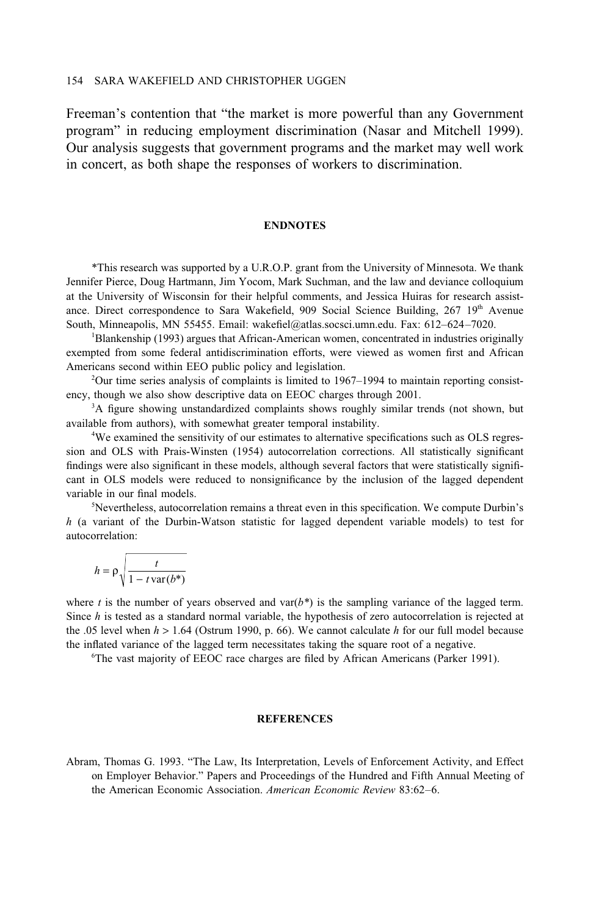Freeman's contention that "the market is more powerful than any Government program" in reducing employment discrimination (Nasar and Mitchell 1999). Our analysis suggests that government programs and the market may well work in concert, as both shape the responses of workers to discrimination.

#### **ENDNOTES**

\*This research was supported by a U.R.O.P. grant from the University of Minnesota. We thank Jennifer Pierce, Doug Hartmann, Jim Yocom, Mark Suchman, and the law and deviance colloquium at the University of Wisconsin for their helpful comments, and Jessica Huiras for research assistance. Direct correspondence to Sara Wakefield, 909 Social Science Building, 267 19th Avenue South, Minneapolis, MN 55455. Email: wakefiel@atlas.socsci.umn.edu. Fax: 612–624–7020.

<sup>1</sup>Blankenship (1993) argues that African-American women, concentrated in industries originally exempted from some federal antidiscrimination efforts, were viewed as women first and African Americans second within EEO public policy and legislation.

 $2$ Our time series analysis of complaints is limited to 1967–1994 to maintain reporting consistency, though we also show descriptive data on EEOC charges through 2001.

<sup>3</sup>A figure showing unstandardized complaints shows roughly similar trends (not shown, but available from authors), with somewhat greater temporal instability.

4 We examined the sensitivity of our estimates to alternative specifications such as OLS regression and OLS with Prais-Winsten (1954) autocorrelation corrections. All statistically significant findings were also significant in these models, although several factors that were statistically significant in OLS models were reduced to nonsignificance by the inclusion of the lagged dependent variable in our final models.

5 Nevertheless, autocorrelation remains a threat even in this specification. We compute Durbin's *h* (a variant of the Durbin-Watson statistic for lagged dependent variable models) to test for autocorrelation:

$$
h = \rho \sqrt{\frac{t}{1 - t \operatorname{var}(b^*)}}
$$

where *t* is the number of years observed and  $var(b^*)$  is the sampling variance of the lagged term. Since *h* is tested as a standard normal variable, the hypothesis of zero autocorrelation is rejected at the .05 level when *h* > 1.64 (Ostrum 1990, p. 66). We cannot calculate *h* for our full model because the inflated variance of the lagged term necessitates taking the square root of a negative.

6 The vast majority of EEOC race charges are filed by African Americans (Parker 1991).

### **REFERENCES**

Abram, Thomas G. 1993. "The Law, Its Interpretation, Levels of Enforcement Activity, and Effect on Employer Behavior." Papers and Proceedings of the Hundred and Fifth Annual Meeting of the American Economic Association. *American Economic Review* 83:62–6.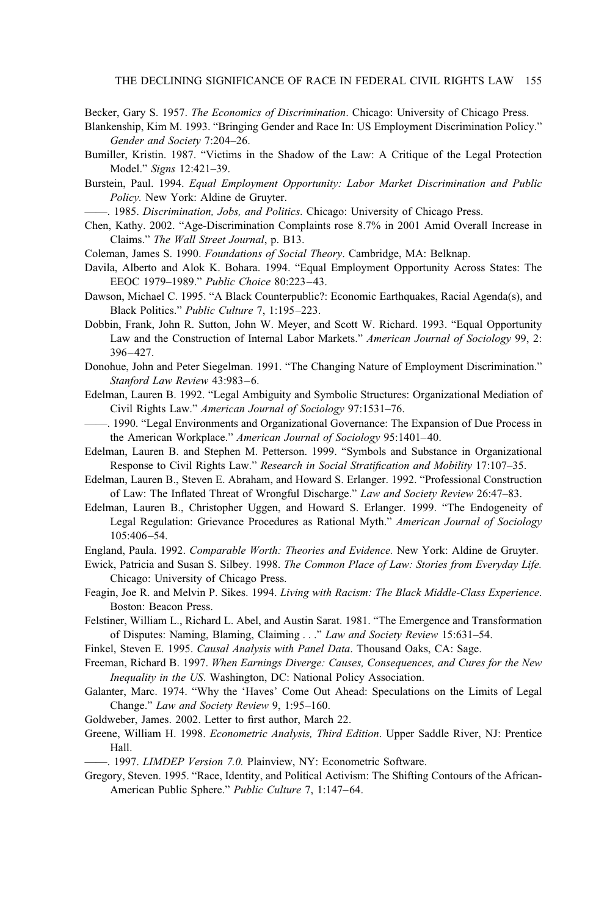Becker, Gary S. 1957. *The Economics of Discrimination*. Chicago: University of Chicago Press.

- Blankenship, Kim M. 1993. "Bringing Gender and Race In: US Employment Discrimination Policy." *Gender and Society* 7:204–26.
- Bumiller, Kristin. 1987. "Victims in the Shadow of the Law: A Critique of the Legal Protection Model." *Signs* 12:421–39.
- Burstein, Paul. 1994. *Equal Employment Opportunity: Labor Market Discrimination and Public Policy.* New York: Aldine de Gruyter.
- ——. 1985. *Discrimination, Jobs, and Politics*. Chicago: University of Chicago Press.
- Chen, Kathy. 2002. "Age-Discrimination Complaints rose 8.7% in 2001 Amid Overall Increase in Claims." *The Wall Street Journal*, p. B13.
- Coleman, James S. 1990. *Foundations of Social Theory*. Cambridge, MA: Belknap.
- Davila, Alberto and Alok K. Bohara. 1994. "Equal Employment Opportunity Across States: The EEOC 1979–1989." *Public Choice* 80:223–43.
- Dawson, Michael C. 1995. "A Black Counterpublic?: Economic Earthquakes, Racial Agenda(s), and Black Politics." *Public Culture* 7, 1:195–223.
- Dobbin, Frank, John R. Sutton, John W. Meyer, and Scott W. Richard. 1993. "Equal Opportunity Law and the Construction of Internal Labor Markets." *American Journal of Sociology* 99, 2: 396–427.
- Donohue, John and Peter Siegelman. 1991. "The Changing Nature of Employment Discrimination." *Stanford Law Review* 43:983–6.
- Edelman, Lauren B. 1992. "Legal Ambiguity and Symbolic Structures: Organizational Mediation of Civil Rights Law." *American Journal of Sociology* 97:1531–76.
- ——. 1990. "Legal Environments and Organizational Governance: The Expansion of Due Process in the American Workplace." *American Journal of Sociology* 95:1401–40.
- Edelman, Lauren B. and Stephen M. Petterson. 1999. "Symbols and Substance in Organizational Response to Civil Rights Law." *Research in Social Stratification and Mobility* 17:107–35.
- Edelman, Lauren B., Steven E. Abraham, and Howard S. Erlanger. 1992. "Professional Construction of Law: The Inflated Threat of Wrongful Discharge." *Law and Society Review* 26:47–83.
- Edelman, Lauren B., Christopher Uggen, and Howard S. Erlanger. 1999. "The Endogeneity of Legal Regulation: Grievance Procedures as Rational Myth." *American Journal of Sociology* 105:406–54.

England, Paula. 1992. *Comparable Worth: Theories and Evidence.* New York: Aldine de Gruyter.

- Ewick, Patricia and Susan S. Silbey. 1998. *The Common Place of Law: Stories from Everyday Life.* Chicago: University of Chicago Press.
- Feagin, Joe R. and Melvin P. Sikes. 1994. *Living with Racism: The Black Middle-Class Experience*. Boston: Beacon Press.
- Felstiner, William L., Richard L. Abel, and Austin Sarat. 1981. "The Emergence and Transformation of Disputes: Naming, Blaming, Claiming . . ." *Law and Society Review* 15:631–54.
- Finkel, Steven E. 1995. *Causal Analysis with Panel Data*. Thousand Oaks, CA: Sage.

Freeman, Richard B. 1997. *When Earnings Diverge: Causes, Consequences, and Cures for the New Inequality in the US*. Washington, DC: National Policy Association.

- Galanter, Marc. 1974. "Why the 'Haves' Come Out Ahead: Speculations on the Limits of Legal Change." *Law and Society Review* 9, 1:95–160.
- Goldweber, James. 2002. Letter to first author, March 22.
- Greene, William H. 1998. *Econometric Analysis, Third Edition*. Upper Saddle River, NJ: Prentice Hall.
- ——. 1997. *LIMDEP Version 7.0.* Plainview, NY: Econometric Software.
- Gregory, Steven. 1995. "Race, Identity, and Political Activism: The Shifting Contours of the African-American Public Sphere." *Public Culture* 7, 1:147–64.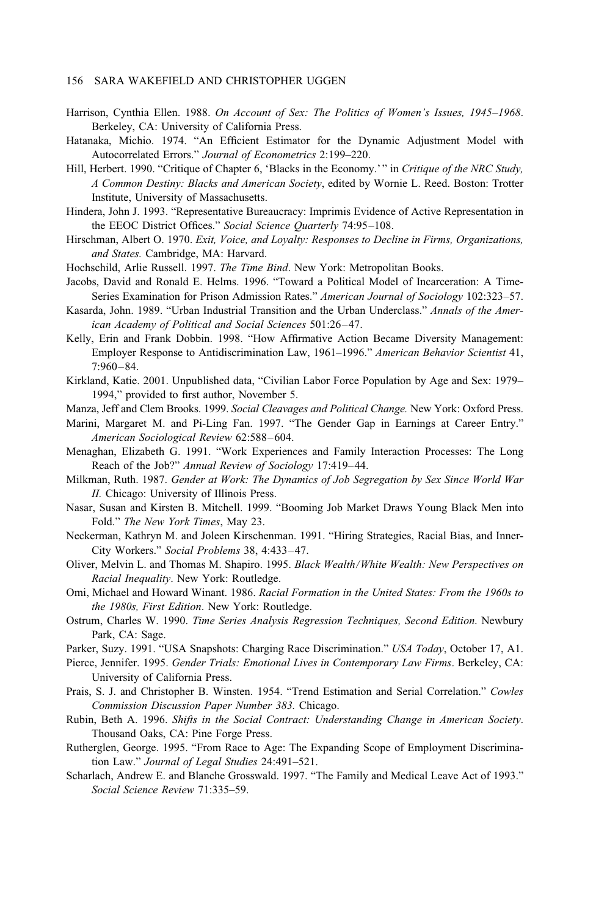- Harrison, Cynthia Ellen. 1988. *On Account of Sex: The Politics of Women's Issues, 1945–1968*. Berkeley, CA: University of California Press.
- Hatanaka, Michio. 1974. "An Efficient Estimator for the Dynamic Adjustment Model with Autocorrelated Errors." *Journal of Econometrics* 2:199–220.
- Hill, Herbert. 1990. "Critique of Chapter 6, 'Blacks in the Economy.'" in *Critique of the NRC Study, A Common Destiny: Blacks and American Society*, edited by Wornie L. Reed. Boston: Trotter Institute, University of Massachusetts.
- Hindera, John J. 1993. "Representative Bureaucracy: Imprimis Evidence of Active Representation in the EEOC District Offices." *Social Science Quarterly* 74:95–108.
- Hirschman, Albert O. 1970. *Exit, Voice, and Loyalty: Responses to Decline in Firms, Organizations, and States.* Cambridge, MA: Harvard.
- Hochschild, Arlie Russell. 1997. *The Time Bind*. New York: Metropolitan Books.
- Jacobs, David and Ronald E. Helms. 1996. "Toward a Political Model of Incarceration: A Time-Series Examination for Prison Admission Rates." *American Journal of Sociology* 102:323–57.
- Kasarda, John. 1989. "Urban Industrial Transition and the Urban Underclass." *Annals of the American Academy of Political and Social Sciences* 501:26–47.
- Kelly, Erin and Frank Dobbin. 1998. "How Affirmative Action Became Diversity Management: Employer Response to Antidiscrimination Law, 1961–1996." *American Behavior Scientist* 41, 7:960–84.
- Kirkland, Katie. 2001. Unpublished data, "Civilian Labor Force Population by Age and Sex: 1979– 1994," provided to first author, November 5.
- Manza, Jeff and Clem Brooks. 1999. *Social Cleavages and Political Change.* New York: Oxford Press.
- Marini, Margaret M. and Pi-Ling Fan. 1997. "The Gender Gap in Earnings at Career Entry." *American Sociological Review* 62:588–604.
- Menaghan, Elizabeth G. 1991. "Work Experiences and Family Interaction Processes: The Long Reach of the Job?" *Annual Review of Sociology* 17:419–44.
- Milkman, Ruth. 1987. *Gender at Work: The Dynamics of Job Segregation by Sex Since World War II.* Chicago: University of Illinois Press.
- Nasar, Susan and Kirsten B. Mitchell. 1999. "Booming Job Market Draws Young Black Men into Fold." *The New York Times*, May 23.
- Neckerman, Kathryn M. and Joleen Kirschenman. 1991. "Hiring Strategies, Racial Bias, and Inner-City Workers." *Social Problems* 38, 4:433–47.
- Oliver, Melvin L. and Thomas M. Shapiro. 1995. *Black Wealth/White Wealth: New Perspectives on Racial Inequality*. New York: Routledge.
- Omi, Michael and Howard Winant. 1986. *Racial Formation in the United States: From the 1960s to the 1980s, First Edition*. New York: Routledge.
- Ostrum, Charles W. 1990. *Time Series Analysis Regression Techniques, Second Edition*. Newbury Park, CA: Sage.
- Parker, Suzy. 1991. "USA Snapshots: Charging Race Discrimination." *USA Today*, October 17, A1.
- Pierce, Jennifer. 1995. *Gender Trials: Emotional Lives in Contemporary Law Firms*. Berkeley, CA: University of California Press.
- Prais, S. J. and Christopher B. Winsten. 1954. "Trend Estimation and Serial Correlation." *Cowles Commission Discussion Paper Number 383.* Chicago.
- Rubin, Beth A. 1996. *Shifts in the Social Contract: Understanding Change in American Society*. Thousand Oaks, CA: Pine Forge Press.
- Rutherglen, George. 1995. "From Race to Age: The Expanding Scope of Employment Discrimination Law." *Journal of Legal Studies* 24:491–521.
- Scharlach, Andrew E. and Blanche Grosswald. 1997. "The Family and Medical Leave Act of 1993." *Social Science Review* 71:335–59.